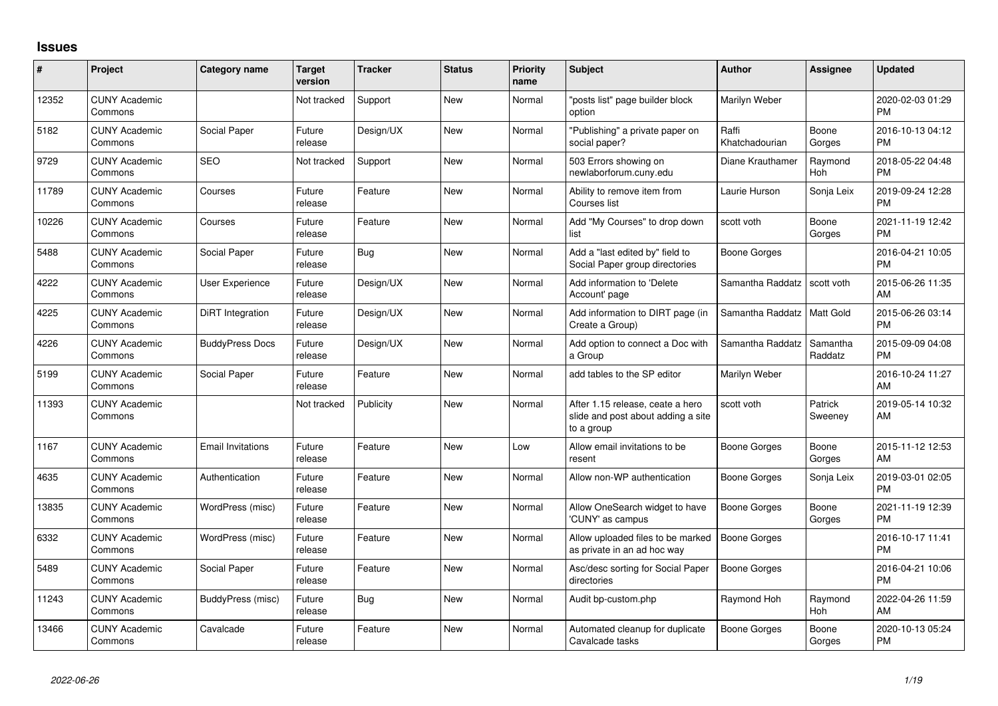## **Issues**

| #     | <b>Project</b>                  | <b>Category name</b>     | <b>Target</b><br>version | <b>Tracker</b> | <b>Status</b> | <b>Priority</b><br>name | <b>Subject</b>                                                                       | <b>Author</b>           | <b>Assignee</b>       | <b>Updated</b>                |
|-------|---------------------------------|--------------------------|--------------------------|----------------|---------------|-------------------------|--------------------------------------------------------------------------------------|-------------------------|-----------------------|-------------------------------|
| 12352 | <b>CUNY Academic</b><br>Commons |                          | Not tracked              | Support        | <b>New</b>    | Normal                  | 'posts list" page builder block<br>option                                            | Marilyn Weber           |                       | 2020-02-03 01:29<br><b>PM</b> |
| 5182  | <b>CUNY Academic</b><br>Commons | Social Paper             | Future<br>release        | Design/UX      | <b>New</b>    | Normal                  | 'Publishing" a private paper on<br>social paper?                                     | Raffi<br>Khatchadourian | Boone<br>Gorges       | 2016-10-13 04:12<br><b>PM</b> |
| 9729  | <b>CUNY Academic</b><br>Commons | <b>SEO</b>               | Not tracked              | Support        | <b>New</b>    | Normal                  | 503 Errors showing on<br>newlaborforum.cuny.edu                                      | Diane Krauthamer        | Raymond<br><b>Hoh</b> | 2018-05-22 04:48<br><b>PM</b> |
| 11789 | <b>CUNY Academic</b><br>Commons | Courses                  | Future<br>release        | Feature        | <b>New</b>    | Normal                  | Ability to remove item from<br>Courses list                                          | Laurie Hurson           | Sonja Leix            | 2019-09-24 12:28<br><b>PM</b> |
| 10226 | <b>CUNY Academic</b><br>Commons | Courses                  | Future<br>release        | Feature        | <b>New</b>    | Normal                  | Add "My Courses" to drop down<br>list                                                | scott voth              | Boone<br>Gorges       | 2021-11-19 12:42<br><b>PM</b> |
| 5488  | <b>CUNY Academic</b><br>Commons | Social Paper             | Future<br>release        | <b>Bug</b>     | <b>New</b>    | Normal                  | Add a "last edited by" field to<br>Social Paper group directories                    | <b>Boone Gorges</b>     |                       | 2016-04-21 10:05<br><b>PM</b> |
| 4222  | <b>CUNY Academic</b><br>Commons | User Experience          | Future<br>release        | Design/UX      | <b>New</b>    | Normal                  | Add information to 'Delete<br>Account' page                                          | Samantha Raddatz        | scott voth            | 2015-06-26 11:35<br>AM        |
| 4225  | <b>CUNY Academic</b><br>Commons | DiRT Integration         | Future<br>release        | Design/UX      | <b>New</b>    | Normal                  | Add information to DIRT page (in<br>Create a Group)                                  | Samantha Raddatz        | <b>Matt Gold</b>      | 2015-06-26 03:14<br><b>PM</b> |
| 4226  | <b>CUNY Academic</b><br>Commons | <b>BuddyPress Docs</b>   | Future<br>release        | Design/UX      | New           | Normal                  | Add option to connect a Doc with<br>a Group                                          | Samantha Raddatz        | Samantha<br>Raddatz   | 2015-09-09 04:08<br><b>PM</b> |
| 5199  | <b>CUNY Academic</b><br>Commons | Social Paper             | Future<br>release        | Feature        | <b>New</b>    | Normal                  | add tables to the SP editor                                                          | Marilyn Weber           |                       | 2016-10-24 11:27<br>AM        |
| 11393 | <b>CUNY Academic</b><br>Commons |                          | Not tracked              | Publicity      | <b>New</b>    | Normal                  | After 1.15 release, ceate a hero<br>slide and post about adding a site<br>to a group | scott voth              | Patrick<br>Sweeney    | 2019-05-14 10:32<br>AM        |
| 1167  | <b>CUNY Academic</b><br>Commons | <b>Email Invitations</b> | Future<br>release        | Feature        | <b>New</b>    | Low                     | Allow email invitations to be<br>resent                                              | Boone Gorges            | Boone<br>Gorges       | 2015-11-12 12:53<br>AM        |
| 4635  | <b>CUNY Academic</b><br>Commons | Authentication           | Future<br>release        | Feature        | <b>New</b>    | Normal                  | Allow non-WP authentication                                                          | <b>Boone Gorges</b>     | Sonja Leix            | 2019-03-01 02:05<br><b>PM</b> |
| 13835 | <b>CUNY Academic</b><br>Commons | WordPress (misc)         | Future<br>release        | Feature        | <b>New</b>    | Normal                  | Allow OneSearch widget to have<br>'CUNY' as campus                                   | <b>Boone Gorges</b>     | Boone<br>Gorges       | 2021-11-19 12:39<br><b>PM</b> |
| 6332  | <b>CUNY Academic</b><br>Commons | WordPress (misc)         | Future<br>release        | Feature        | <b>New</b>    | Normal                  | Allow uploaded files to be marked<br>as private in an ad hoc way                     | <b>Boone Gorges</b>     |                       | 2016-10-17 11:41<br><b>PM</b> |
| 5489  | <b>CUNY Academic</b><br>Commons | Social Paper             | Future<br>release        | Feature        | <b>New</b>    | Normal                  | Asc/desc sorting for Social Paper<br>directories                                     | <b>Boone Gorges</b>     |                       | 2016-04-21 10:06<br><b>PM</b> |
| 11243 | <b>CUNY Academic</b><br>Commons | BuddyPress (misc)        | Future<br>release        | <b>Bug</b>     | <b>New</b>    | Normal                  | Audit bp-custom.php                                                                  | Raymond Hoh             | Raymond<br><b>Hoh</b> | 2022-04-26 11:59<br>AM        |
| 13466 | <b>CUNY Academic</b><br>Commons | Cavalcade                | Future<br>release        | Feature        | <b>New</b>    | Normal                  | Automated cleanup for duplicate<br>Cavalcade tasks                                   | <b>Boone Gorges</b>     | Boone<br>Gorges       | 2020-10-13 05:24<br><b>PM</b> |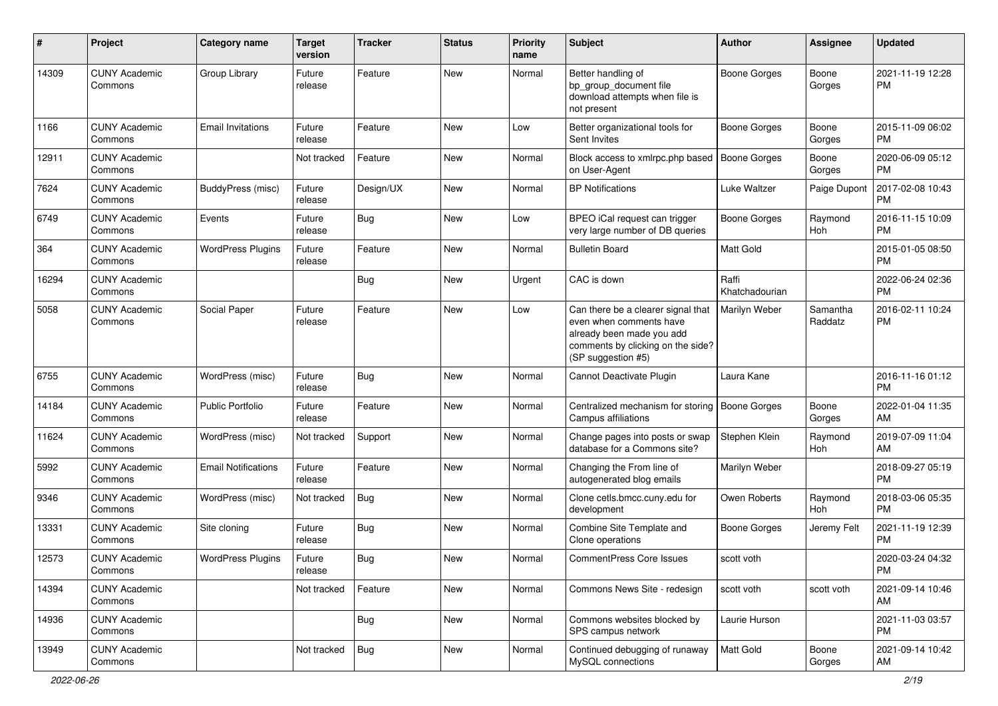| #     | Project                         | <b>Category name</b>       | <b>Target</b><br>version | <b>Tracker</b> | <b>Status</b> | <b>Priority</b><br>name | <b>Subject</b>                                                                                                                                        | <b>Author</b>           | <b>Assignee</b>     | <b>Updated</b>                |
|-------|---------------------------------|----------------------------|--------------------------|----------------|---------------|-------------------------|-------------------------------------------------------------------------------------------------------------------------------------------------------|-------------------------|---------------------|-------------------------------|
| 14309 | <b>CUNY Academic</b><br>Commons | Group Library              | Future<br>release        | Feature        | <b>New</b>    | Normal                  | Better handling of<br>bp_group_document file<br>download attempts when file is<br>not present                                                         | <b>Boone Gorges</b>     | Boone<br>Gorges     | 2021-11-19 12:28<br>РM        |
| 1166  | <b>CUNY Academic</b><br>Commons | <b>Email Invitations</b>   | Future<br>release        | Feature        | <b>New</b>    | Low                     | Better organizational tools for<br>Sent Invites                                                                                                       | <b>Boone Gorges</b>     | Boone<br>Gorges     | 2015-11-09 06:02<br><b>PM</b> |
| 12911 | <b>CUNY Academic</b><br>Commons |                            | Not tracked              | Feature        | <b>New</b>    | Normal                  | Block access to xmlrpc.php based<br>on User-Agent                                                                                                     | <b>Boone Gorges</b>     | Boone<br>Gorges     | 2020-06-09 05:12<br><b>PM</b> |
| 7624  | <b>CUNY Academic</b><br>Commons | BuddyPress (misc)          | Future<br>release        | Design/UX      | <b>New</b>    | Normal                  | <b>BP</b> Notifications                                                                                                                               | Luke Waltzer            | Paige Dupont        | 2017-02-08 10:43<br><b>PM</b> |
| 6749  | <b>CUNY Academic</b><br>Commons | Events                     | Future<br>release        | Bug            | <b>New</b>    | Low                     | BPEO iCal request can trigger<br>very large number of DB queries                                                                                      | <b>Boone Gorges</b>     | Raymond<br>Hoh      | 2016-11-15 10:09<br><b>PM</b> |
| 364   | <b>CUNY Academic</b><br>Commons | <b>WordPress Plugins</b>   | Future<br>release        | Feature        | <b>New</b>    | Normal                  | <b>Bulletin Board</b>                                                                                                                                 | Matt Gold               |                     | 2015-01-05 08:50<br><b>PM</b> |
| 16294 | <b>CUNY Academic</b><br>Commons |                            |                          | Bug            | <b>New</b>    | Urgent                  | CAC is down                                                                                                                                           | Raffi<br>Khatchadourian |                     | 2022-06-24 02:36<br><b>PM</b> |
| 5058  | <b>CUNY Academic</b><br>Commons | Social Paper               | Future<br>release        | Feature        | <b>New</b>    | Low                     | Can there be a clearer signal that<br>even when comments have<br>already been made you add<br>comments by clicking on the side?<br>(SP suggestion #5) | Marilyn Weber           | Samantha<br>Raddatz | 2016-02-11 10:24<br><b>PM</b> |
| 6755  | <b>CUNY Academic</b><br>Commons | WordPress (misc)           | Future<br>release        | <b>Bug</b>     | <b>New</b>    | Normal                  | Cannot Deactivate Plugin                                                                                                                              | Laura Kane              |                     | 2016-11-16 01:12<br><b>PM</b> |
| 14184 | <b>CUNY Academic</b><br>Commons | <b>Public Portfolio</b>    | Future<br>release        | Feature        | <b>New</b>    | Normal                  | Centralized mechanism for storing<br>Campus affiliations                                                                                              | <b>Boone Gorges</b>     | Boone<br>Gorges     | 2022-01-04 11:35<br>AM        |
| 11624 | <b>CUNY Academic</b><br>Commons | WordPress (misc)           | Not tracked              | Support        | <b>New</b>    | Normal                  | Change pages into posts or swap<br>database for a Commons site?                                                                                       | Stephen Klein           | Raymond<br>Hoh      | 2019-07-09 11:04<br>AM        |
| 5992  | <b>CUNY Academic</b><br>Commons | <b>Email Notifications</b> | Future<br>release        | Feature        | <b>New</b>    | Normal                  | Changing the From line of<br>autogenerated blog emails                                                                                                | Marilyn Weber           |                     | 2018-09-27 05:19<br><b>PM</b> |
| 9346  | <b>CUNY Academic</b><br>Commons | WordPress (misc)           | Not tracked              | Bug            | New           | Normal                  | Clone cetls.bmcc.cuny.edu for<br>development                                                                                                          | Owen Roberts            | Raymond<br>Hoh      | 2018-03-06 05:35<br><b>PM</b> |
| 13331 | <b>CUNY Academic</b><br>Commons | Site cloning               | Future<br>release        | <b>Bug</b>     | <b>New</b>    | Normal                  | Combine Site Template and<br>Clone operations                                                                                                         | <b>Boone Gorges</b>     | Jeremy Felt         | 2021-11-19 12:39<br>PM        |
| 12573 | <b>CUNY Academic</b><br>Commons | <b>WordPress Plugins</b>   | Future<br>release        | Bug            | New           | Normal                  | <b>CommentPress Core Issues</b>                                                                                                                       | scott voth              |                     | 2020-03-24 04:32<br>PM        |
| 14394 | <b>CUNY Academic</b><br>Commons |                            | Not tracked              | Feature        | New           | Normal                  | Commons News Site - redesign                                                                                                                          | scott voth              | scott voth          | 2021-09-14 10:46<br>AM        |
| 14936 | <b>CUNY Academic</b><br>Commons |                            |                          | <b>Bug</b>     | New           | Normal                  | Commons websites blocked by<br>SPS campus network                                                                                                     | Laurie Hurson           |                     | 2021-11-03 03:57<br><b>PM</b> |
| 13949 | <b>CUNY Academic</b><br>Commons |                            | Not tracked              | <b>Bug</b>     | New           | Normal                  | Continued debugging of runaway<br>MySQL connections                                                                                                   | Matt Gold               | Boone<br>Gorges     | 2021-09-14 10:42<br>AM        |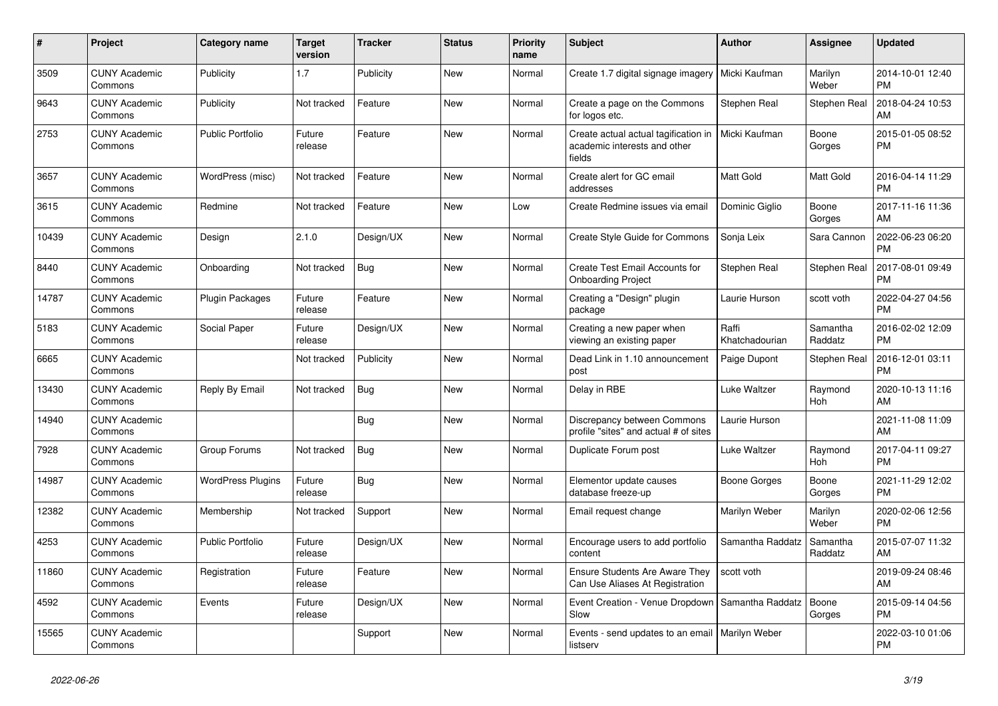| $\pmb{\#}$ | <b>Project</b>                  | Category name            | <b>Target</b><br>version | <b>Tracker</b> | <b>Status</b> | <b>Priority</b><br>name | <b>Subject</b>                                                                 | <b>Author</b>           | <b>Assignee</b>     | <b>Updated</b>                |
|------------|---------------------------------|--------------------------|--------------------------|----------------|---------------|-------------------------|--------------------------------------------------------------------------------|-------------------------|---------------------|-------------------------------|
| 3509       | <b>CUNY Academic</b><br>Commons | Publicity                | 1.7                      | Publicity      | <b>New</b>    | Normal                  | Create 1.7 digital signage imagery                                             | Micki Kaufman           | Marilyn<br>Weber    | 2014-10-01 12:40<br><b>PM</b> |
| 9643       | <b>CUNY Academic</b><br>Commons | Publicity                | Not tracked              | Feature        | <b>New</b>    | Normal                  | Create a page on the Commons<br>for logos etc.                                 | Stephen Real            | Stephen Real        | 2018-04-24 10:53<br>AM        |
| 2753       | <b>CUNY Academic</b><br>Commons | <b>Public Portfolio</b>  | Future<br>release        | Feature        | <b>New</b>    | Normal                  | Create actual actual tagification in<br>academic interests and other<br>fields | Micki Kaufman           | Boone<br>Gorges     | 2015-01-05 08:52<br><b>PM</b> |
| 3657       | <b>CUNY Academic</b><br>Commons | WordPress (misc)         | Not tracked              | Feature        | <b>New</b>    | Normal                  | Create alert for GC email<br>addresses                                         | <b>Matt Gold</b>        | Matt Gold           | 2016-04-14 11:29<br><b>PM</b> |
| 3615       | <b>CUNY Academic</b><br>Commons | Redmine                  | Not tracked              | Feature        | <b>New</b>    | Low                     | Create Redmine issues via email                                                | Dominic Giglio          | Boone<br>Gorges     | 2017-11-16 11:36<br>AM        |
| 10439      | <b>CUNY Academic</b><br>Commons | Design                   | 2.1.0                    | Design/UX      | <b>New</b>    | Normal                  | Create Style Guide for Commons                                                 | Sonja Leix              | Sara Cannon         | 2022-06-23 06:20<br><b>PM</b> |
| 8440       | <b>CUNY Academic</b><br>Commons | Onboarding               | Not tracked              | Bug            | <b>New</b>    | Normal                  | Create Test Email Accounts for<br><b>Onboarding Project</b>                    | Stephen Real            | Stephen Real        | 2017-08-01 09:49<br><b>PM</b> |
| 14787      | <b>CUNY Academic</b><br>Commons | <b>Plugin Packages</b>   | Future<br>release        | Feature        | New           | Normal                  | Creating a "Design" plugin<br>package                                          | Laurie Hurson           | scott voth          | 2022-04-27 04:56<br><b>PM</b> |
| 5183       | <b>CUNY Academic</b><br>Commons | Social Paper             | Future<br>release        | Design/UX      | <b>New</b>    | Normal                  | Creating a new paper when<br>viewing an existing paper                         | Raffi<br>Khatchadourian | Samantha<br>Raddatz | 2016-02-02 12:09<br><b>PM</b> |
| 6665       | <b>CUNY Academic</b><br>Commons |                          | Not tracked              | Publicity      | <b>New</b>    | Normal                  | Dead Link in 1.10 announcement<br>post                                         | Paige Dupont            | Stephen Real        | 2016-12-01 03:11<br><b>PM</b> |
| 13430      | <b>CUNY Academic</b><br>Commons | Reply By Email           | Not tracked              | Bug            | <b>New</b>    | Normal                  | Delay in RBE                                                                   | Luke Waltzer            | Raymond<br>Hoh      | 2020-10-13 11:16<br>AM        |
| 14940      | <b>CUNY Academic</b><br>Commons |                          |                          | Bug            | <b>New</b>    | Normal                  | Discrepancy between Commons<br>profile "sites" and actual # of sites           | Laurie Hurson           |                     | 2021-11-08 11:09<br>AM        |
| 7928       | <b>CUNY Academic</b><br>Commons | Group Forums             | Not tracked              | Bug            | <b>New</b>    | Normal                  | Duplicate Forum post                                                           | Luke Waltzer            | Raymond<br>Hoh      | 2017-04-11 09:27<br><b>PM</b> |
| 14987      | <b>CUNY Academic</b><br>Commons | <b>WordPress Plugins</b> | Future<br>release        | Bug            | New           | Normal                  | Elementor update causes<br>database freeze-up                                  | Boone Gorges            | Boone<br>Gorges     | 2021-11-29 12:02<br><b>PM</b> |
| 12382      | <b>CUNY Academic</b><br>Commons | Membership               | Not tracked              | Support        | <b>New</b>    | Normal                  | Email request change                                                           | Marilyn Weber           | Marilyn<br>Weber    | 2020-02-06 12:56<br><b>PM</b> |
| 4253       | <b>CUNY Academic</b><br>Commons | <b>Public Portfolio</b>  | Future<br>release        | Design/UX      | <b>New</b>    | Normal                  | Encourage users to add portfolio<br>content                                    | Samantha Raddatz        | Samantha<br>Raddatz | 2015-07-07 11:32<br>AM        |
| 11860      | <b>CUNY Academic</b><br>Commons | Registration             | Future<br>release        | Feature        | <b>New</b>    | Normal                  | Ensure Students Are Aware They<br>Can Use Aliases At Registration              | scott voth              |                     | 2019-09-24 08:46<br>AM        |
| 4592       | <b>CUNY Academic</b><br>Commons | Events                   | Future<br>release        | Design/UX      | <b>New</b>    | Normal                  | Event Creation - Venue Dropdown<br>Slow                                        | Samantha Raddatz        | Boone<br>Gorges     | 2015-09-14 04:56<br><b>PM</b> |
| 15565      | <b>CUNY Academic</b><br>Commons |                          |                          | Support        | <b>New</b>    | Normal                  | Events - send updates to an email   Marilyn Weber<br>listserv                  |                         |                     | 2022-03-10 01:06<br><b>PM</b> |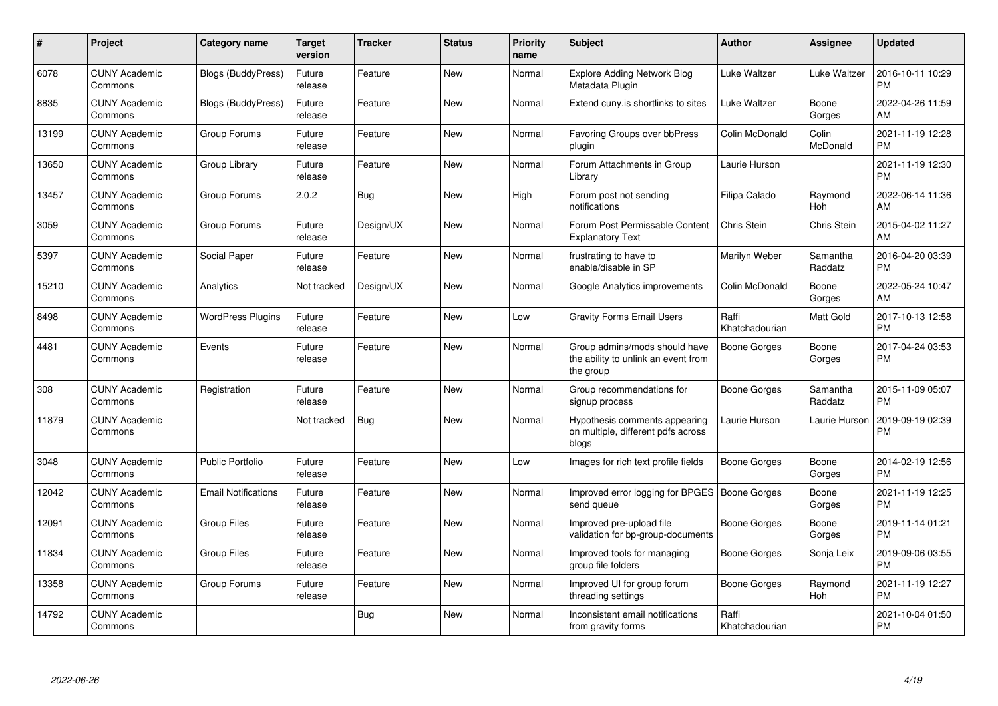| #     | Project                         | <b>Category name</b>       | <b>Target</b><br>version | <b>Tracker</b> | <b>Status</b> | <b>Priority</b><br>name | <b>Subject</b>                                                                    | <b>Author</b>           | <b>Assignee</b>     | <b>Updated</b>                |
|-------|---------------------------------|----------------------------|--------------------------|----------------|---------------|-------------------------|-----------------------------------------------------------------------------------|-------------------------|---------------------|-------------------------------|
| 6078  | <b>CUNY Academic</b><br>Commons | <b>Blogs (BuddyPress)</b>  | Future<br>release        | Feature        | <b>New</b>    | Normal                  | <b>Explore Adding Network Blog</b><br>Metadata Plugin                             | Luke Waltzer            | Luke Waltzer        | 2016-10-11 10:29<br><b>PM</b> |
| 8835  | <b>CUNY Academic</b><br>Commons | <b>Blogs (BuddyPress)</b>  | Future<br>release        | Feature        | New           | Normal                  | Extend cuny is shortlinks to sites                                                | Luke Waltzer            | Boone<br>Gorges     | 2022-04-26 11:59<br>AM        |
| 13199 | <b>CUNY Academic</b><br>Commons | Group Forums               | Future<br>release        | Feature        | <b>New</b>    | Normal                  | Favoring Groups over bbPress<br>plugin                                            | Colin McDonald          | Colin<br>McDonald   | 2021-11-19 12:28<br><b>PM</b> |
| 13650 | <b>CUNY Academic</b><br>Commons | Group Library              | Future<br>release        | Feature        | New           | Normal                  | Forum Attachments in Group<br>Library                                             | Laurie Hurson           |                     | 2021-11-19 12:30<br><b>PM</b> |
| 13457 | <b>CUNY Academic</b><br>Commons | Group Forums               | 2.0.2                    | Bug            | <b>New</b>    | High                    | Forum post not sending<br>notifications                                           | Filipa Calado           | Raymond<br>Hoh      | 2022-06-14 11:36<br>AM        |
| 3059  | <b>CUNY Academic</b><br>Commons | Group Forums               | Future<br>release        | Design/UX      | New           | Normal                  | Forum Post Permissable Content<br><b>Explanatory Text</b>                         | Chris Stein             | Chris Stein         | 2015-04-02 11:27<br>AM        |
| 5397  | <b>CUNY Academic</b><br>Commons | Social Paper               | Future<br>release        | Feature        | <b>New</b>    | Normal                  | frustrating to have to<br>enable/disable in SP                                    | Marilyn Weber           | Samantha<br>Raddatz | 2016-04-20 03:39<br><b>PM</b> |
| 15210 | <b>CUNY Academic</b><br>Commons | Analytics                  | Not tracked              | Design/UX      | <b>New</b>    | Normal                  | Google Analytics improvements                                                     | Colin McDonald          | Boone<br>Gorges     | 2022-05-24 10:47<br>AM        |
| 8498  | <b>CUNY Academic</b><br>Commons | <b>WordPress Plugins</b>   | Future<br>release        | Feature        | <b>New</b>    | Low                     | <b>Gravity Forms Email Users</b>                                                  | Raffi<br>Khatchadourian | Matt Gold           | 2017-10-13 12:58<br><b>PM</b> |
| 4481  | <b>CUNY Academic</b><br>Commons | Events                     | Future<br>release        | Feature        | <b>New</b>    | Normal                  | Group admins/mods should have<br>the ability to unlink an event from<br>the group | Boone Gorges            | Boone<br>Gorges     | 2017-04-24 03:53<br><b>PM</b> |
| 308   | <b>CUNY Academic</b><br>Commons | Registration               | Future<br>release        | Feature        | <b>New</b>    | Normal                  | Group recommendations for<br>signup process                                       | Boone Gorges            | Samantha<br>Raddatz | 2015-11-09 05:07<br><b>PM</b> |
| 11879 | <b>CUNY Academic</b><br>Commons |                            | Not tracked              | Bug            | New           | Normal                  | Hypothesis comments appearing<br>on multiple, different pdfs across<br>blogs      | Laurie Hurson           | Laurie Hurson       | 2019-09-19 02:39<br><b>PM</b> |
| 3048  | <b>CUNY Academic</b><br>Commons | <b>Public Portfolio</b>    | Future<br>release        | Feature        | <b>New</b>    | Low                     | Images for rich text profile fields                                               | Boone Gorges            | Boone<br>Gorges     | 2014-02-19 12:56<br><b>PM</b> |
| 12042 | <b>CUNY Academic</b><br>Commons | <b>Email Notifications</b> | Future<br>release        | Feature        | New           | Normal                  | Improved error logging for BPGES   Boone Gorges<br>send queue                     |                         | Boone<br>Gorges     | 2021-11-19 12:25<br><b>PM</b> |
| 12091 | <b>CUNY Academic</b><br>Commons | <b>Group Files</b>         | Future<br>release        | Feature        | <b>New</b>    | Normal                  | Improved pre-upload file<br>validation for bp-group-documents                     | Boone Gorges            | Boone<br>Gorges     | 2019-11-14 01:21<br><b>PM</b> |
| 11834 | <b>CUNY Academic</b><br>Commons | <b>Group Files</b>         | Future<br>release        | Feature        | <b>New</b>    | Normal                  | Improved tools for managing<br>group file folders                                 | Boone Gorges            | Sonja Leix          | 2019-09-06 03:55<br><b>PM</b> |
| 13358 | <b>CUNY Academic</b><br>Commons | Group Forums               | Future<br>release        | Feature        | New           | Normal                  | Improved UI for group forum<br>threading settings                                 | Boone Gorges            | Raymond<br>Hoh      | 2021-11-19 12:27<br><b>PM</b> |
| 14792 | <b>CUNY Academic</b><br>Commons |                            |                          | <b>Bug</b>     | <b>New</b>    | Normal                  | Inconsistent email notifications<br>from gravity forms                            | Raffi<br>Khatchadourian |                     | 2021-10-04 01:50<br><b>PM</b> |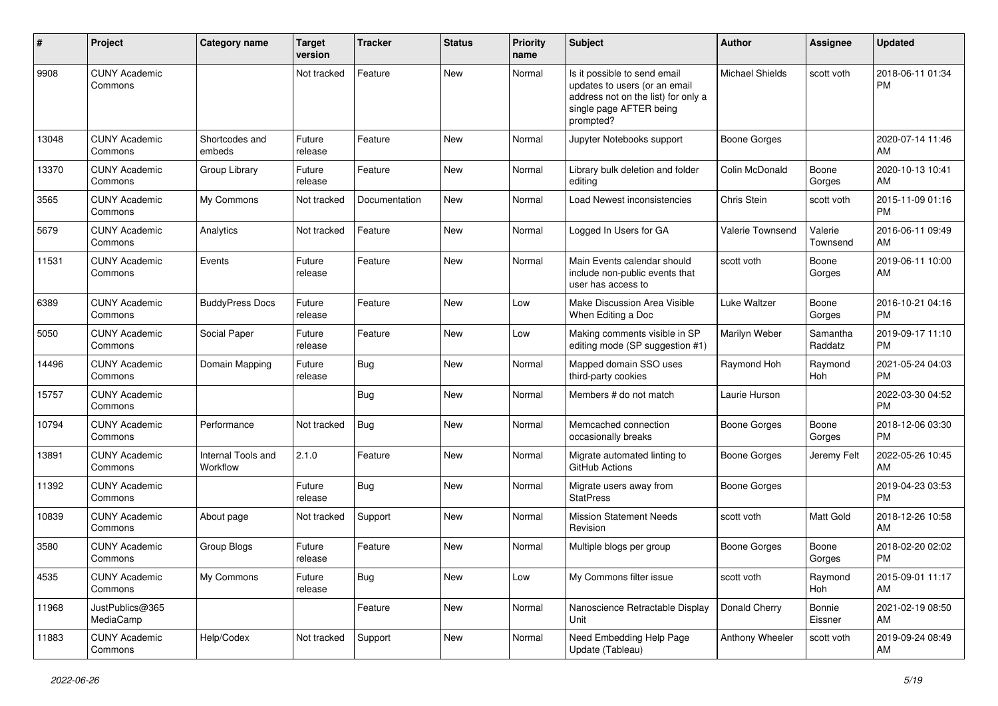| #     | Project                         | <b>Category name</b>           | <b>Target</b><br>version | <b>Tracker</b> | <b>Status</b> | <b>Priority</b><br>name | <b>Subject</b>                                                                                                                               | <b>Author</b>          | <b>Assignee</b>     | <b>Updated</b>                |
|-------|---------------------------------|--------------------------------|--------------------------|----------------|---------------|-------------------------|----------------------------------------------------------------------------------------------------------------------------------------------|------------------------|---------------------|-------------------------------|
| 9908  | <b>CUNY Academic</b><br>Commons |                                | Not tracked              | Feature        | New           | Normal                  | Is it possible to send email<br>updates to users (or an email<br>address not on the list) for only a<br>single page AFTER being<br>prompted? | <b>Michael Shields</b> | scott voth          | 2018-06-11 01:34<br><b>PM</b> |
| 13048 | <b>CUNY Academic</b><br>Commons | Shortcodes and<br>embeds       | Future<br>release        | Feature        | New           | Normal                  | Jupyter Notebooks support                                                                                                                    | Boone Gorges           |                     | 2020-07-14 11:46<br>AM        |
| 13370 | <b>CUNY Academic</b><br>Commons | Group Library                  | Future<br>release        | Feature        | New           | Normal                  | Library bulk deletion and folder<br>editing                                                                                                  | Colin McDonald         | Boone<br>Gorges     | 2020-10-13 10:41<br>AM        |
| 3565  | <b>CUNY Academic</b><br>Commons | My Commons                     | Not tracked              | Documentation  | <b>New</b>    | Normal                  | Load Newest inconsistencies                                                                                                                  | Chris Stein            | scott voth          | 2015-11-09 01:16<br><b>PM</b> |
| 5679  | <b>CUNY Academic</b><br>Commons | Analytics                      | Not tracked              | Feature        | New           | Normal                  | Logged In Users for GA                                                                                                                       | Valerie Townsend       | Valerie<br>Townsend | 2016-06-11 09:49<br>AM        |
| 11531 | <b>CUNY Academic</b><br>Commons | Events                         | Future<br>release        | Feature        | New           | Normal                  | Main Events calendar should<br>include non-public events that<br>user has access to                                                          | scott voth             | Boone<br>Gorges     | 2019-06-11 10:00<br>AM        |
| 6389  | <b>CUNY Academic</b><br>Commons | <b>BuddyPress Docs</b>         | Future<br>release        | Feature        | New           | Low                     | Make Discussion Area Visible<br>When Editing a Doc                                                                                           | Luke Waltzer           | Boone<br>Gorges     | 2016-10-21 04:16<br><b>PM</b> |
| 5050  | <b>CUNY Academic</b><br>Commons | Social Paper                   | Future<br>release        | Feature        | <b>New</b>    | Low                     | Making comments visible in SP<br>editing mode (SP suggestion #1)                                                                             | Marilyn Weber          | Samantha<br>Raddatz | 2019-09-17 11:10<br>PM        |
| 14496 | <b>CUNY Academic</b><br>Commons | Domain Mapping                 | Future<br>release        | <b>Bug</b>     | <b>New</b>    | Normal                  | Mapped domain SSO uses<br>third-party cookies                                                                                                | Raymond Hoh            | Raymond<br>Hoh      | 2021-05-24 04:03<br><b>PM</b> |
| 15757 | <b>CUNY Academic</b><br>Commons |                                |                          | Bug            | New           | Normal                  | Members # do not match                                                                                                                       | Laurie Hurson          |                     | 2022-03-30 04:52<br><b>PM</b> |
| 10794 | <b>CUNY Academic</b><br>Commons | Performance                    | Not tracked              | Bug            | New           | Normal                  | Memcached connection<br>occasionally breaks                                                                                                  | Boone Gorges           | Boone<br>Gorges     | 2018-12-06 03:30<br><b>PM</b> |
| 13891 | <b>CUNY Academic</b><br>Commons | Internal Tools and<br>Workflow | 2.1.0                    | Feature        | New           | Normal                  | Migrate automated linting to<br>GitHub Actions                                                                                               | Boone Gorges           | Jeremy Felt         | 2022-05-26 10:45<br>AM        |
| 11392 | <b>CUNY Academic</b><br>Commons |                                | Future<br>release        | Bug            | New           | Normal                  | Migrate users away from<br><b>StatPress</b>                                                                                                  | Boone Gorges           |                     | 2019-04-23 03:53<br>PM        |
| 10839 | <b>CUNY Academic</b><br>Commons | About page                     | Not tracked              | Support        | New           | Normal                  | <b>Mission Statement Needs</b><br>Revision                                                                                                   | scott voth             | Matt Gold           | 2018-12-26 10:58<br>AM        |
| 3580  | <b>CUNY Academic</b><br>Commons | Group Blogs                    | Future<br>release        | Feature        | <b>New</b>    | Normal                  | Multiple blogs per group                                                                                                                     | Boone Gorges           | Boone<br>Gorges     | 2018-02-20 02:02<br>PM        |
| 4535  | <b>CUNY Academic</b><br>Commons | My Commons                     | Future<br>release        | Bug            | New           | Low                     | My Commons filter issue                                                                                                                      | scott voth             | Raymond<br>Hoh      | 2015-09-01 11:17<br>AM        |
| 11968 | JustPublics@365<br>MediaCamp    |                                |                          | Feature        | New           | Normal                  | Nanoscience Retractable Display<br>  Unit                                                                                                    | Donald Cherry          | Bonnie<br>Eissner   | 2021-02-19 08:50<br>AM        |
| 11883 | <b>CUNY Academic</b><br>Commons | Help/Codex                     | Not tracked              | Support        | New           | Normal                  | Need Embedding Help Page<br>Update (Tableau)                                                                                                 | Anthony Wheeler        | scott voth          | 2019-09-24 08:49<br>AM        |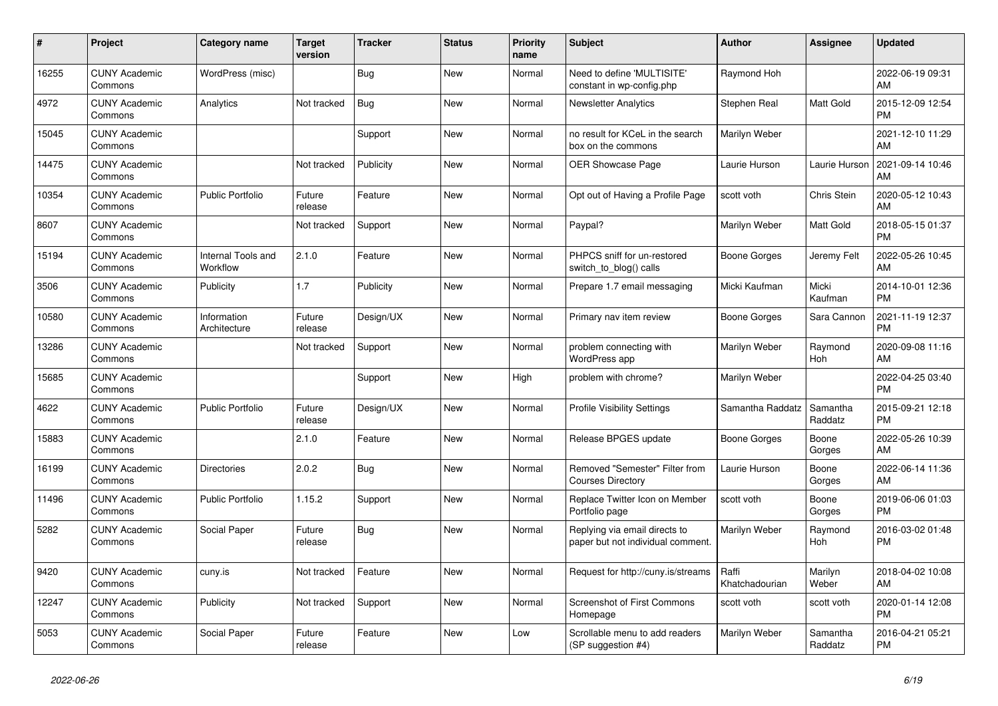| $\pmb{\sharp}$ | <b>Project</b>                  | <b>Category name</b>           | <b>Target</b><br>version | Tracker    | <b>Status</b> | <b>Priority</b><br>name | <b>Subject</b>                                                     | <b>Author</b>           | Assignee              | <b>Updated</b>                |
|----------------|---------------------------------|--------------------------------|--------------------------|------------|---------------|-------------------------|--------------------------------------------------------------------|-------------------------|-----------------------|-------------------------------|
| 16255          | <b>CUNY Academic</b><br>Commons | WordPress (misc)               |                          | <b>Bug</b> | <b>New</b>    | Normal                  | Need to define 'MULTISITE'<br>constant in wp-config.php            | Raymond Hoh             |                       | 2022-06-19 09:31<br>AM        |
| 4972           | <b>CUNY Academic</b><br>Commons | Analytics                      | Not tracked              | Bug        | <b>New</b>    | Normal                  | <b>Newsletter Analytics</b>                                        | Stephen Real            | Matt Gold             | 2015-12-09 12:54<br><b>PM</b> |
| 15045          | <b>CUNY Academic</b><br>Commons |                                |                          | Support    | <b>New</b>    | Normal                  | no result for KCeL in the search<br>box on the commons             | Marilyn Weber           |                       | 2021-12-10 11:29<br>AM        |
| 14475          | <b>CUNY Academic</b><br>Commons |                                | Not tracked              | Publicity  | <b>New</b>    | Normal                  | <b>OER Showcase Page</b>                                           | Laurie Hurson           | Laurie Hurson         | 2021-09-14 10:46<br>AM        |
| 10354          | <b>CUNY Academic</b><br>Commons | <b>Public Portfolio</b>        | Future<br>release        | Feature    | <b>New</b>    | Normal                  | Opt out of Having a Profile Page                                   | scott voth              | Chris Stein           | 2020-05-12 10:43<br>AM        |
| 8607           | <b>CUNY Academic</b><br>Commons |                                | Not tracked              | Support    | <b>New</b>    | Normal                  | Paypal?                                                            | Marilyn Weber           | Matt Gold             | 2018-05-15 01:37<br><b>PM</b> |
| 15194          | <b>CUNY Academic</b><br>Commons | Internal Tools and<br>Workflow | 2.1.0                    | Feature    | <b>New</b>    | Normal                  | PHPCS sniff for un-restored<br>switch_to_blog() calls              | Boone Gorges            | Jeremy Felt           | 2022-05-26 10:45<br>AM        |
| 3506           | <b>CUNY Academic</b><br>Commons | Publicity                      | 1.7                      | Publicity  | <b>New</b>    | Normal                  | Prepare 1.7 email messaging                                        | Micki Kaufman           | Micki<br>Kaufman      | 2014-10-01 12:36<br><b>PM</b> |
| 10580          | <b>CUNY Academic</b><br>Commons | Information<br>Architecture    | Future<br>release        | Design/UX  | <b>New</b>    | Normal                  | Primary nav item review                                            | Boone Gorges            | Sara Cannon           | 2021-11-19 12:37<br><b>PM</b> |
| 13286          | <b>CUNY Academic</b><br>Commons |                                | Not tracked              | Support    | <b>New</b>    | Normal                  | problem connecting with<br><b>WordPress app</b>                    | Marilyn Weber           | Raymond<br><b>Hoh</b> | 2020-09-08 11:16<br>AM        |
| 15685          | <b>CUNY Academic</b><br>Commons |                                |                          | Support    | <b>New</b>    | High                    | problem with chrome?                                               | Marilyn Weber           |                       | 2022-04-25 03:40<br><b>PM</b> |
| 4622           | <b>CUNY Academic</b><br>Commons | <b>Public Portfolio</b>        | Future<br>release        | Design/UX  | <b>New</b>    | Normal                  | <b>Profile Visibility Settings</b>                                 | Samantha Raddatz        | Samantha<br>Raddatz   | 2015-09-21 12:18<br><b>PM</b> |
| 15883          | <b>CUNY Academic</b><br>Commons |                                | 2.1.0                    | Feature    | <b>New</b>    | Normal                  | Release BPGES update                                               | <b>Boone Gorges</b>     | Boone<br>Gorges       | 2022-05-26 10:39<br>AM        |
| 16199          | <b>CUNY Academic</b><br>Commons | <b>Directories</b>             | 2.0.2                    | <b>Bug</b> | <b>New</b>    | Normal                  | Removed "Semester" Filter from<br><b>Courses Directory</b>         | Laurie Hurson           | Boone<br>Gorges       | 2022-06-14 11:36<br>AM        |
| 11496          | <b>CUNY Academic</b><br>Commons | <b>Public Portfolio</b>        | 1.15.2                   | Support    | <b>New</b>    | Normal                  | Replace Twitter Icon on Member<br>Portfolio page                   | scott voth              | Boone<br>Gorges       | 2019-06-06 01:03<br><b>PM</b> |
| 5282           | <b>CUNY Academic</b><br>Commons | Social Paper                   | Future<br>release        | Bug        | <b>New</b>    | Normal                  | Replying via email directs to<br>paper but not individual comment. | Marilyn Weber           | Raymond<br>Hoh        | 2016-03-02 01:48<br><b>PM</b> |
| 9420           | <b>CUNY Academic</b><br>Commons | cuny.is                        | Not tracked              | Feature    | <b>New</b>    | Normal                  | Request for http://cuny.is/streams                                 | Raffi<br>Khatchadourian | Marilyn<br>Weber      | 2018-04-02 10:08<br>AM        |
| 12247          | <b>CUNY Academic</b><br>Commons | Publicity                      | Not tracked              | Support    | <b>New</b>    | Normal                  | <b>Screenshot of First Commons</b><br>Homepage                     | scott voth              | scott voth            | 2020-01-14 12:08<br><b>PM</b> |
| 5053           | <b>CUNY Academic</b><br>Commons | Social Paper                   | Future<br>release        | Feature    | <b>New</b>    | Low                     | Scrollable menu to add readers<br>(SP suggestion #4)               | Marilyn Weber           | Samantha<br>Raddatz   | 2016-04-21 05:21<br><b>PM</b> |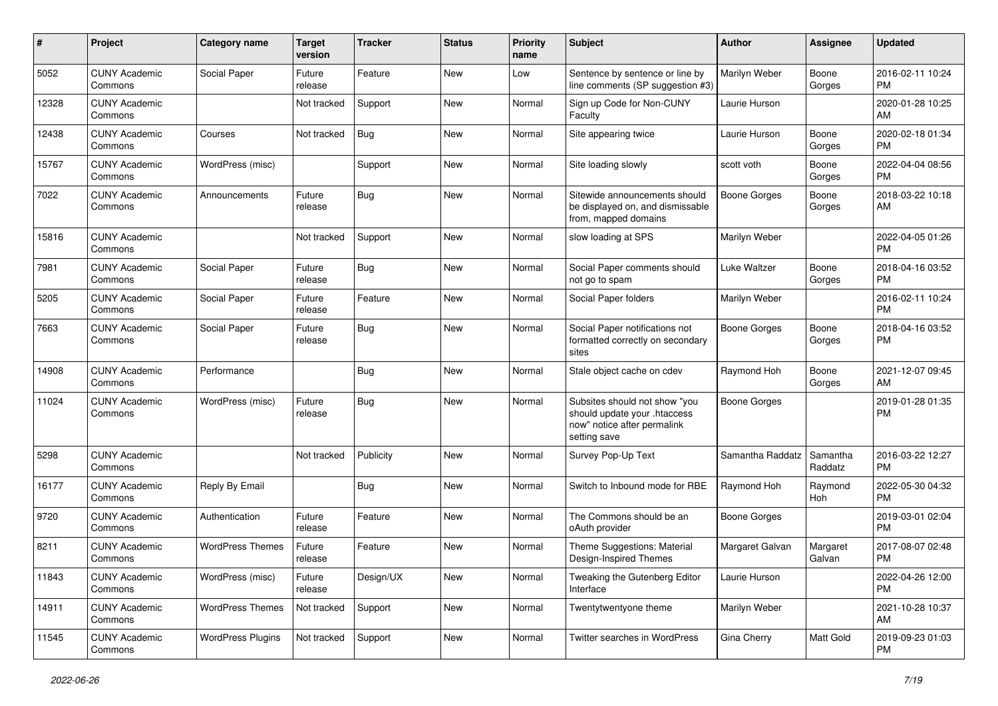| $\#$  | Project                         | <b>Category name</b>     | <b>Target</b><br>version | <b>Tracker</b> | <b>Status</b> | <b>Priority</b><br>name | <b>Subject</b>                                                                                               | Author              | <b>Assignee</b>     | <b>Updated</b>                |
|-------|---------------------------------|--------------------------|--------------------------|----------------|---------------|-------------------------|--------------------------------------------------------------------------------------------------------------|---------------------|---------------------|-------------------------------|
| 5052  | <b>CUNY Academic</b><br>Commons | Social Paper             | Future<br>release        | Feature        | <b>New</b>    | Low                     | Sentence by sentence or line by<br>line comments (SP suggestion #3)                                          | Marilyn Weber       | Boone<br>Gorges     | 2016-02-11 10:24<br>РM        |
| 12328 | <b>CUNY Academic</b><br>Commons |                          | Not tracked              | Support        | New           | Normal                  | Sign up Code for Non-CUNY<br>Faculty                                                                         | Laurie Hurson       |                     | 2020-01-28 10:25<br>AM        |
| 12438 | <b>CUNY Academic</b><br>Commons | Courses                  | Not tracked              | Bug            | New           | Normal                  | Site appearing twice                                                                                         | Laurie Hurson       | Boone<br>Gorges     | 2020-02-18 01:34<br><b>PM</b> |
| 15767 | <b>CUNY Academic</b><br>Commons | WordPress (misc)         |                          | Support        | New           | Normal                  | Site loading slowly                                                                                          | scott voth          | Boone<br>Gorges     | 2022-04-04 08:56<br><b>PM</b> |
| 7022  | <b>CUNY Academic</b><br>Commons | Announcements            | Future<br>release        | Bug            | <b>New</b>    | Normal                  | Sitewide announcements should<br>be displayed on, and dismissable<br>from, mapped domains                    | Boone Gorges        | Boone<br>Gorges     | 2018-03-22 10:18<br>AM        |
| 15816 | <b>CUNY Academic</b><br>Commons |                          | Not tracked              | Support        | New           | Normal                  | slow loading at SPS                                                                                          | Marilyn Weber       |                     | 2022-04-05 01:26<br><b>PM</b> |
| 7981  | <b>CUNY Academic</b><br>Commons | Social Paper             | Future<br>release        | <b>Bug</b>     | New           | Normal                  | Social Paper comments should<br>not go to spam                                                               | Luke Waltzer        | Boone<br>Gorges     | 2018-04-16 03:52<br><b>PM</b> |
| 5205  | <b>CUNY Academic</b><br>Commons | Social Paper             | Future<br>release        | Feature        | New           | Normal                  | Social Paper folders                                                                                         | Marilyn Weber       |                     | 2016-02-11 10:24<br><b>PM</b> |
| 7663  | <b>CUNY Academic</b><br>Commons | Social Paper             | Future<br>release        | <b>Bug</b>     | <b>New</b>    | Normal                  | Social Paper notifications not<br>formatted correctly on secondary<br>sites                                  | <b>Boone Gorges</b> | Boone<br>Gorges     | 2018-04-16 03:52<br><b>PM</b> |
| 14908 | <b>CUNY Academic</b><br>Commons | Performance              |                          | <b>Bug</b>     | <b>New</b>    | Normal                  | Stale object cache on cdev                                                                                   | Raymond Hoh         | Boone<br>Gorges     | 2021-12-07 09:45<br>AM        |
| 11024 | <b>CUNY Academic</b><br>Commons | WordPress (misc)         | Future<br>release        | <b>Bug</b>     | New           | Normal                  | Subsites should not show "you<br>should update your .htaccess<br>now" notice after permalink<br>setting save | <b>Boone Gorges</b> |                     | 2019-01-28 01:35<br><b>PM</b> |
| 5298  | <b>CUNY Academic</b><br>Commons |                          | Not tracked              | Publicity      | <b>New</b>    | Normal                  | Survey Pop-Up Text                                                                                           | Samantha Raddatz    | Samantha<br>Raddatz | 2016-03-22 12:27<br><b>PM</b> |
| 16177 | <b>CUNY Academic</b><br>Commons | Reply By Email           |                          | Bug            | <b>New</b>    | Normal                  | Switch to Inbound mode for RBE                                                                               | Raymond Hoh         | Raymond<br>Hoh      | 2022-05-30 04:32<br><b>PM</b> |
| 9720  | <b>CUNY Academic</b><br>Commons | Authentication           | Future<br>release        | Feature        | New           | Normal                  | The Commons should be an<br>oAuth provider                                                                   | <b>Boone Gorges</b> |                     | 2019-03-01 02:04<br><b>PM</b> |
| 8211  | <b>CUNY Academic</b><br>Commons | <b>WordPress Themes</b>  | Future<br>release        | Feature        | New           | Normal                  | Theme Suggestions: Material<br>Design-Inspired Themes                                                        | Margaret Galvan     | Margaret<br>Galvan  | 2017-08-07 02:48<br>PM        |
| 11843 | <b>CUNY Academic</b><br>Commons | WordPress (misc)         | Future<br>release        | Design/UX      | New           | Normal                  | Tweaking the Gutenberg Editor<br>Interface                                                                   | Laurie Hurson       |                     | 2022-04-26 12:00<br>PM        |
| 14911 | <b>CUNY Academic</b><br>Commons | <b>WordPress Themes</b>  | Not tracked              | Support        | New           | Normal                  | Twentytwentyone theme                                                                                        | Marilyn Weber       |                     | 2021-10-28 10:37<br>AM        |
| 11545 | <b>CUNY Academic</b><br>Commons | <b>WordPress Plugins</b> | Not tracked              | Support        | New           | Normal                  | Twitter searches in WordPress                                                                                | Gina Cherry         | Matt Gold           | 2019-09-23 01:03<br>PM        |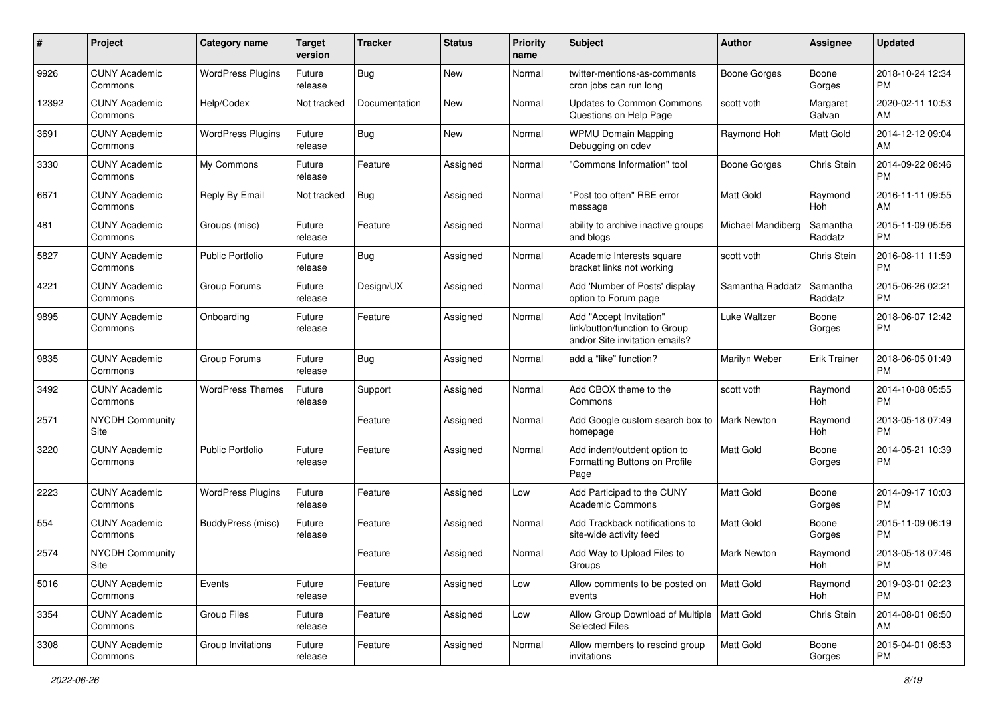| #     | Project                         | <b>Category name</b>     | <b>Target</b><br>version | <b>Tracker</b> | <b>Status</b> | <b>Priority</b><br>name | Subject                                                                                    | Author              | Assignee            | <b>Updated</b>                |
|-------|---------------------------------|--------------------------|--------------------------|----------------|---------------|-------------------------|--------------------------------------------------------------------------------------------|---------------------|---------------------|-------------------------------|
| 9926  | <b>CUNY Academic</b><br>Commons | <b>WordPress Plugins</b> | Future<br>release        | <b>Bug</b>     | <b>New</b>    | Normal                  | twitter-mentions-as-comments<br>cron jobs can run long                                     | <b>Boone Gorges</b> | Boone<br>Gorges     | 2018-10-24 12:34<br><b>PM</b> |
| 12392 | <b>CUNY Academic</b><br>Commons | Help/Codex               | Not tracked              | Documentation  | New           | Normal                  | <b>Updates to Common Commons</b><br>Questions on Help Page                                 | scott voth          | Margaret<br>Galvan  | 2020-02-11 10:53<br>AM        |
| 3691  | <b>CUNY Academic</b><br>Commons | <b>WordPress Plugins</b> | Future<br>release        | <b>Bug</b>     | New           | Normal                  | <b>WPMU Domain Mapping</b><br>Debugging on cdev                                            | Raymond Hoh         | <b>Matt Gold</b>    | 2014-12-12 09:04<br>AM        |
| 3330  | <b>CUNY Academic</b><br>Commons | My Commons               | Future<br>release        | Feature        | Assigned      | Normal                  | 'Commons Information" tool                                                                 | Boone Gorges        | Chris Stein         | 2014-09-22 08:46<br><b>PM</b> |
| 6671  | <b>CUNY Academic</b><br>Commons | Reply By Email           | Not tracked              | <b>Bug</b>     | Assigned      | Normal                  | "Post too often" RBE error<br>message                                                      | <b>Matt Gold</b>    | Raymond<br>Hoh      | 2016-11-11 09:55<br>AM        |
| 481   | <b>CUNY Academic</b><br>Commons | Groups (misc)            | Future<br>release        | Feature        | Assigned      | Normal                  | ability to archive inactive groups<br>and blogs                                            | Michael Mandiberg   | Samantha<br>Raddatz | 2015-11-09 05:56<br><b>PM</b> |
| 5827  | <b>CUNY Academic</b><br>Commons | <b>Public Portfolio</b>  | Future<br>release        | Bug            | Assigned      | Normal                  | Academic Interests square<br>bracket links not working                                     | scott voth          | Chris Stein         | 2016-08-11 11:59<br><b>PM</b> |
| 4221  | <b>CUNY Academic</b><br>Commons | Group Forums             | Future<br>release        | Design/UX      | Assigned      | Normal                  | Add 'Number of Posts' display<br>option to Forum page                                      | Samantha Raddatz    | Samantha<br>Raddatz | 2015-06-26 02:21<br><b>PM</b> |
| 9895  | <b>CUNY Academic</b><br>Commons | Onboarding               | Future<br>release        | Feature        | Assigned      | Normal                  | Add "Accept Invitation"<br>link/button/function to Group<br>and/or Site invitation emails? | Luke Waltzer        | Boone<br>Gorges     | 2018-06-07 12:42<br><b>PM</b> |
| 9835  | <b>CUNY Academic</b><br>Commons | Group Forums             | Future<br>release        | <b>Bug</b>     | Assigned      | Normal                  | add a "like" function?                                                                     | Marilyn Weber       | <b>Erik Trainer</b> | 2018-06-05 01:49<br><b>PM</b> |
| 3492  | <b>CUNY Academic</b><br>Commons | <b>WordPress Themes</b>  | Future<br>release        | Support        | Assigned      | Normal                  | Add CBOX theme to the<br>Commons                                                           | scott voth          | Raymond<br>Hoh      | 2014-10-08 05:55<br>PM        |
| 2571  | <b>NYCDH Community</b><br>Site  |                          |                          | Feature        | Assigned      | Normal                  | Add Google custom search box to<br>homepage                                                | <b>Mark Newton</b>  | Raymond<br>Hoh      | 2013-05-18 07:49<br><b>PM</b> |
| 3220  | <b>CUNY Academic</b><br>Commons | <b>Public Portfolio</b>  | Future<br>release        | Feature        | Assigned      | Normal                  | Add indent/outdent option to<br>Formatting Buttons on Profile<br>Page                      | <b>Matt Gold</b>    | Boone<br>Gorges     | 2014-05-21 10:39<br><b>PM</b> |
| 2223  | <b>CUNY Academic</b><br>Commons | <b>WordPress Plugins</b> | Future<br>release        | Feature        | Assigned      | Low                     | Add Participad to the CUNY<br><b>Academic Commons</b>                                      | Matt Gold           | Boone<br>Gorges     | 2014-09-17 10:03<br><b>PM</b> |
| 554   | <b>CUNY Academic</b><br>Commons | BuddyPress (misc)        | Future<br>release        | Feature        | Assigned      | Normal                  | Add Trackback notifications to<br>site-wide activity feed                                  | Matt Gold           | Boone<br>Gorges     | 2015-11-09 06:19<br><b>PM</b> |
| 2574  | <b>NYCDH Community</b><br>Site  |                          |                          | Feature        | Assigned      | Normal                  | Add Way to Upload Files to<br>Groups                                                       | <b>Mark Newton</b>  | Raymond<br>Hoh      | 2013-05-18 07:46<br>PM        |
| 5016  | <b>CUNY Academic</b><br>Commons | Events                   | Future<br>release        | Feature        | Assigned      | Low                     | Allow comments to be posted on<br>events                                                   | Matt Gold           | Raymond<br>Hoh      | 2019-03-01 02:23<br><b>PM</b> |
| 3354  | <b>CUNY Academic</b><br>Commons | Group Files              | Future<br>release        | Feature        | Assigned      | Low                     | Allow Group Download of Multiple   Matt Gold<br><b>Selected Files</b>                      |                     | Chris Stein         | 2014-08-01 08:50<br>AM        |
| 3308  | <b>CUNY Academic</b><br>Commons | Group Invitations        | Future<br>release        | Feature        | Assigned      | Normal                  | Allow members to rescind group<br>invitations                                              | Matt Gold           | Boone<br>Gorges     | 2015-04-01 08:53<br>PM        |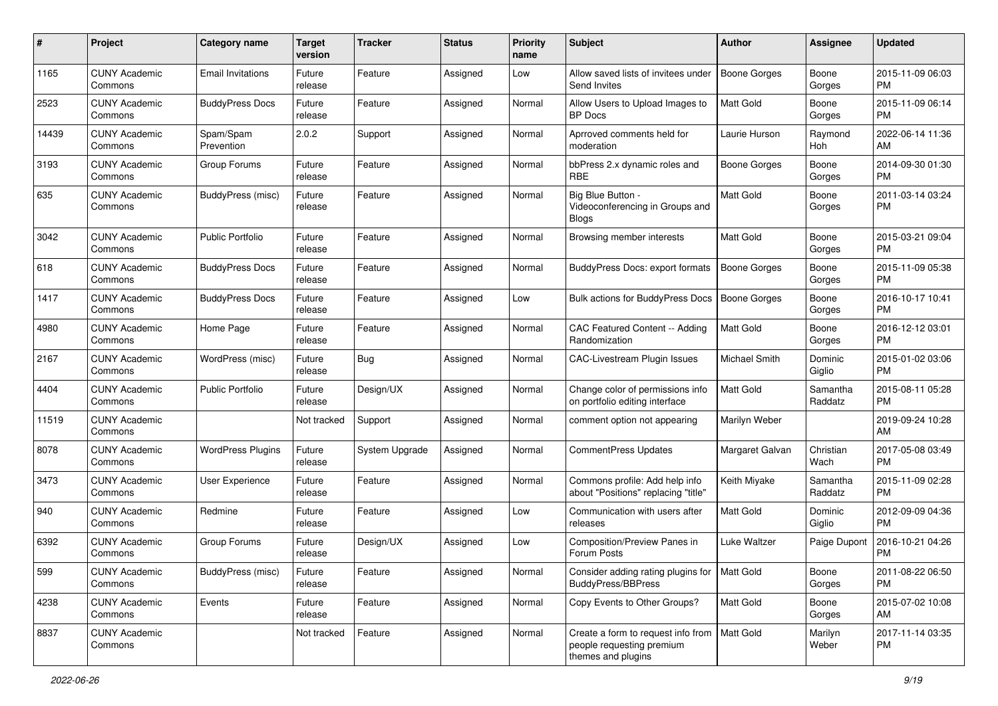| #     | Project                         | <b>Category name</b>     | <b>Target</b><br>version | <b>Tracker</b>        | <b>Status</b> | <b>Priority</b><br>name | Subject                                                                               | Author              | <b>Assignee</b>     | <b>Updated</b>                |
|-------|---------------------------------|--------------------------|--------------------------|-----------------------|---------------|-------------------------|---------------------------------------------------------------------------------------|---------------------|---------------------|-------------------------------|
| 1165  | <b>CUNY Academic</b><br>Commons | <b>Email Invitations</b> | Future<br>release        | Feature               | Assigned      | Low                     | Allow saved lists of invitees under<br>Send Invites                                   | <b>Boone Gorges</b> | Boone<br>Gorges     | 2015-11-09 06:03<br><b>PM</b> |
| 2523  | <b>CUNY Academic</b><br>Commons | <b>BuddyPress Docs</b>   | Future<br>release        | Feature               | Assigned      | Normal                  | Allow Users to Upload Images to<br><b>BP</b> Docs                                     | Matt Gold           | Boone<br>Gorges     | 2015-11-09 06:14<br><b>PM</b> |
| 14439 | <b>CUNY Academic</b><br>Commons | Spam/Spam<br>Prevention  | 2.0.2                    | Support               | Assigned      | Normal                  | Aprroved comments held for<br>moderation                                              | Laurie Hurson       | Raymond<br>Hoh      | 2022-06-14 11:36<br>AM        |
| 3193  | <b>CUNY Academic</b><br>Commons | Group Forums             | Future<br>release        | Feature               | Assigned      | Normal                  | bbPress 2.x dynamic roles and<br><b>RBE</b>                                           | <b>Boone Gorges</b> | Boone<br>Gorges     | 2014-09-30 01:30<br><b>PM</b> |
| 635   | <b>CUNY Academic</b><br>Commons | BuddyPress (misc)        | Future<br>release        | Feature               | Assigned      | Normal                  | Big Blue Button -<br>Videoconferencing in Groups and<br><b>Blogs</b>                  | Matt Gold           | Boone<br>Gorges     | 2011-03-14 03:24<br><b>PM</b> |
| 3042  | <b>CUNY Academic</b><br>Commons | <b>Public Portfolio</b>  | Future<br>release        | Feature               | Assigned      | Normal                  | Browsing member interests                                                             | <b>Matt Gold</b>    | Boone<br>Gorges     | 2015-03-21 09:04<br><b>PM</b> |
| 618   | <b>CUNY Academic</b><br>Commons | <b>BuddyPress Docs</b>   | Future<br>release        | Feature               | Assigned      | Normal                  | <b>BuddyPress Docs: export formats</b>                                                | <b>Boone Gorges</b> | Boone<br>Gorges     | 2015-11-09 05:38<br><b>PM</b> |
| 1417  | <b>CUNY Academic</b><br>Commons | <b>BuddyPress Docs</b>   | Future<br>release        | Feature               | Assigned      | Low                     | <b>Bulk actions for BuddyPress Docs</b>                                               | <b>Boone Gorges</b> | Boone<br>Gorges     | 2016-10-17 10:41<br><b>PM</b> |
| 4980  | <b>CUNY Academic</b><br>Commons | Home Page                | Future<br>release        | Feature               | Assigned      | Normal                  | CAC Featured Content -- Adding<br>Randomization                                       | Matt Gold           | Boone<br>Gorges     | 2016-12-12 03:01<br>PM        |
| 2167  | <b>CUNY Academic</b><br>Commons | WordPress (misc)         | Future<br>release        | <b>Bug</b>            | Assigned      | Normal                  | CAC-Livestream Plugin Issues                                                          | Michael Smith       | Dominic<br>Giglio   | 2015-01-02 03:06<br><b>PM</b> |
| 4404  | <b>CUNY Academic</b><br>Commons | <b>Public Portfolio</b>  | Future<br>release        | Design/UX             | Assigned      | Normal                  | Change color of permissions info<br>on portfolio editing interface                    | <b>Matt Gold</b>    | Samantha<br>Raddatz | 2015-08-11 05:28<br><b>PM</b> |
| 11519 | <b>CUNY Academic</b><br>Commons |                          | Not tracked              | Support               | Assigned      | Normal                  | comment option not appearing                                                          | Marilyn Weber       |                     | 2019-09-24 10:28<br>AM        |
| 8078  | <b>CUNY Academic</b><br>Commons | <b>WordPress Plugins</b> | Future<br>release        | <b>System Upgrade</b> | Assigned      | Normal                  | CommentPress Updates                                                                  | Margaret Galvan     | Christian<br>Wach   | 2017-05-08 03:49<br><b>PM</b> |
| 3473  | <b>CUNY Academic</b><br>Commons | User Experience          | Future<br>release        | Feature               | Assigned      | Normal                  | Commons profile: Add help info<br>about "Positions" replacing "title"                 | Keith Miyake        | Samantha<br>Raddatz | 2015-11-09 02:28<br><b>PM</b> |
| 940   | <b>CUNY Academic</b><br>Commons | Redmine                  | Future<br>release        | Feature               | Assigned      | Low                     | Communication with users after<br>releases                                            | Matt Gold           | Dominic<br>Giglio   | 2012-09-09 04:36<br><b>PM</b> |
| 6392  | <b>CUNY Academic</b><br>Commons | Group Forums             | Future<br>release        | Design/UX             | Assigned      | Low                     | Composition/Preview Panes in<br>Forum Posts                                           | Luke Waltzer        | Paige Dupont        | 2016-10-21 04:26<br><b>PM</b> |
| 599   | <b>CUNY Academic</b><br>Commons | BuddyPress (misc)        | Future<br>release        | Feature               | Assigned      | Normal                  | Consider adding rating plugins for   Matt Gold<br><b>BuddyPress/BBPress</b>           |                     | Boone<br>Gorges     | 2011-08-22 06:50<br><b>PM</b> |
| 4238  | <b>CUNY Academic</b><br>Commons | Events                   | Future<br>release        | Feature               | Assigned      | Normal                  | Copy Events to Other Groups?                                                          | Matt Gold           | Boone<br>Gorges     | 2015-07-02 10:08<br>AM        |
| 8837  | <b>CUNY Academic</b><br>Commons |                          | Not tracked              | Feature               | Assigned      | Normal                  | Create a form to request info from<br>people requesting premium<br>themes and plugins | Matt Gold           | Marilyn<br>Weber    | 2017-11-14 03:35<br>PM        |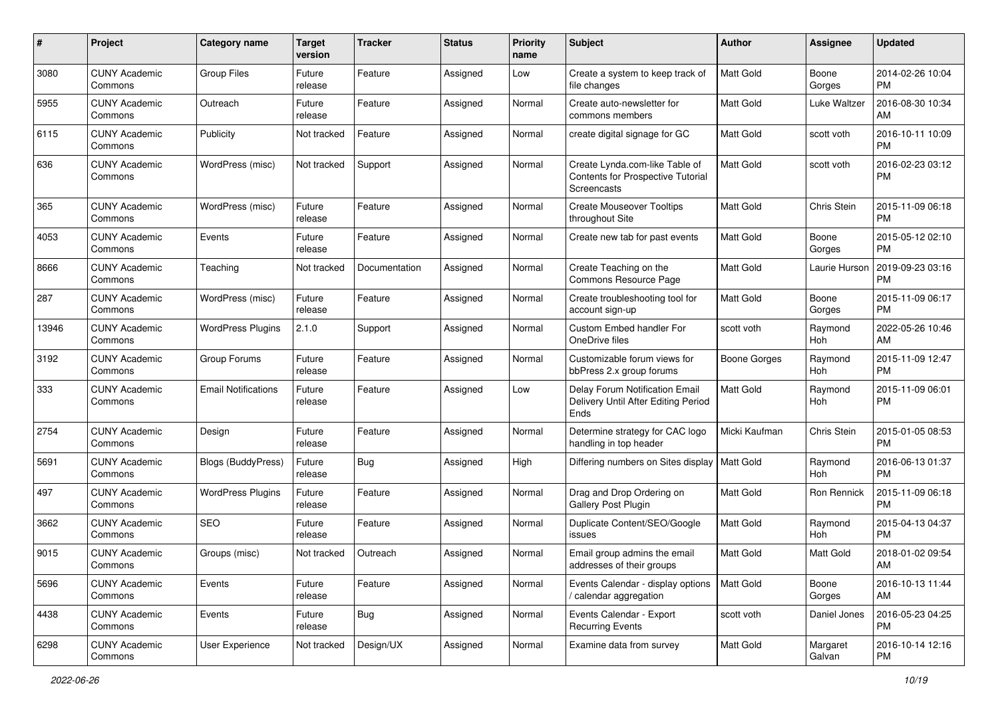| #     | Project                         | <b>Category name</b>       | <b>Target</b><br>version | <b>Tracker</b> | <b>Status</b> | <b>Priority</b><br>name | Subject                                                                            | Author              | <b>Assignee</b>    | <b>Updated</b>                |
|-------|---------------------------------|----------------------------|--------------------------|----------------|---------------|-------------------------|------------------------------------------------------------------------------------|---------------------|--------------------|-------------------------------|
| 3080  | <b>CUNY Academic</b><br>Commons | Group Files                | Future<br>release        | Feature        | Assigned      | Low                     | Create a system to keep track of<br>file changes                                   | <b>Matt Gold</b>    | Boone<br>Gorges    | 2014-02-26 10:04<br><b>PM</b> |
| 5955  | <b>CUNY Academic</b><br>Commons | Outreach                   | Future<br>release        | Feature        | Assigned      | Normal                  | Create auto-newsletter for<br>commons members                                      | Matt Gold           | Luke Waltzer       | 2016-08-30 10:34<br>AM        |
| 6115  | CUNY Academic<br>Commons        | Publicity                  | Not tracked              | Feature        | Assigned      | Normal                  | create digital signage for GC                                                      | Matt Gold           | scott voth         | 2016-10-11 10:09<br><b>PM</b> |
| 636   | <b>CUNY Academic</b><br>Commons | WordPress (misc)           | Not tracked              | Support        | Assigned      | Normal                  | Create Lynda.com-like Table of<br>Contents for Prospective Tutorial<br>Screencasts | <b>Matt Gold</b>    | scott voth         | 2016-02-23 03:12<br><b>PM</b> |
| 365   | <b>CUNY Academic</b><br>Commons | WordPress (misc)           | Future<br>release        | Feature        | Assigned      | Normal                  | <b>Create Mouseover Tooltips</b><br>throughout Site                                | <b>Matt Gold</b>    | Chris Stein        | 2015-11-09 06:18<br><b>PM</b> |
| 4053  | <b>CUNY Academic</b><br>Commons | Events                     | Future<br>release        | Feature        | Assigned      | Normal                  | Create new tab for past events                                                     | <b>Matt Gold</b>    | Boone<br>Gorges    | 2015-05-12 02:10<br><b>PM</b> |
| 8666  | <b>CUNY Academic</b><br>Commons | Teaching                   | Not tracked              | Documentation  | Assigned      | Normal                  | Create Teaching on the<br>Commons Resource Page                                    | <b>Matt Gold</b>    | Laurie Hurson      | 2019-09-23 03:16<br><b>PM</b> |
| 287   | <b>CUNY Academic</b><br>Commons | WordPress (misc)           | Future<br>release        | Feature        | Assigned      | Normal                  | Create troubleshooting tool for<br>account sign-up                                 | Matt Gold           | Boone<br>Gorges    | 2015-11-09 06:17<br><b>PM</b> |
| 13946 | <b>CUNY Academic</b><br>Commons | <b>WordPress Plugins</b>   | 2.1.0                    | Support        | Assigned      | Normal                  | <b>Custom Embed handler For</b><br>OneDrive files                                  | scott voth          | Raymond<br>Hoh     | 2022-05-26 10:46<br>AM        |
| 3192  | <b>CUNY Academic</b><br>Commons | Group Forums               | Future<br>release        | Feature        | Assigned      | Normal                  | Customizable forum views for<br>bbPress 2.x group forums                           | <b>Boone Gorges</b> | Raymond<br>Hoh     | 2015-11-09 12:47<br><b>PM</b> |
| 333   | <b>CUNY Academic</b><br>Commons | <b>Email Notifications</b> | Future<br>release        | Feature        | Assigned      | Low                     | Delay Forum Notification Email<br>Delivery Until After Editing Period<br>Ends      | <b>Matt Gold</b>    | Raymond<br>Hoh     | 2015-11-09 06:01<br><b>PM</b> |
| 2754  | <b>CUNY Academic</b><br>Commons | Design                     | Future<br>release        | Feature        | Assigned      | Normal                  | Determine strategy for CAC logo<br>handling in top header                          | Micki Kaufman       | Chris Stein        | 2015-01-05 08:53<br><b>PM</b> |
| 5691  | <b>CUNY Academic</b><br>Commons | Blogs (BuddyPress)         | Future<br>release        | Bug            | Assigned      | High                    | Differing numbers on Sites display                                                 | <b>Matt Gold</b>    | Raymond<br>Hoh     | 2016-06-13 01:37<br><b>PM</b> |
| 497   | <b>CUNY Academic</b><br>Commons | <b>WordPress Plugins</b>   | Future<br>release        | Feature        | Assigned      | Normal                  | Drag and Drop Ordering on<br>Gallery Post Plugin                                   | <b>Matt Gold</b>    | Ron Rennick        | 2015-11-09 06:18<br><b>PM</b> |
| 3662  | <b>CUNY Academic</b><br>Commons | <b>SEO</b>                 | Future<br>release        | Feature        | Assigned      | Normal                  | Duplicate Content/SEO/Google<br>issues                                             | Matt Gold           | Raymond<br>Hoh     | 2015-04-13 04:37<br><b>PM</b> |
| 9015  | <b>CUNY Academic</b><br>Commons | Groups (misc)              | Not tracked              | Outreach       | Assigned      | Normal                  | Email group admins the email<br>addresses of their groups                          | Matt Gold           | Matt Gold          | 2018-01-02 09:54<br>AM        |
| 5696  | <b>CUNY Academic</b><br>Commons | Events                     | Future<br>release        | Feature        | Assigned      | Normal                  | Events Calendar - display options<br>/ calendar aggregation                        | Matt Gold           | Boone<br>Gorges    | 2016-10-13 11:44<br>AM        |
| 4438  | <b>CUNY Academic</b><br>Commons | Events                     | Future<br>release        | Bug            | Assigned      | Normal                  | Events Calendar - Export<br><b>Recurring Events</b>                                | scott voth          | Daniel Jones       | 2016-05-23 04:25<br>PM        |
| 6298  | <b>CUNY Academic</b><br>Commons | User Experience            | Not tracked              | Design/UX      | Assigned      | Normal                  | Examine data from survey                                                           | Matt Gold           | Margaret<br>Galvan | 2016-10-14 12:16<br>PM        |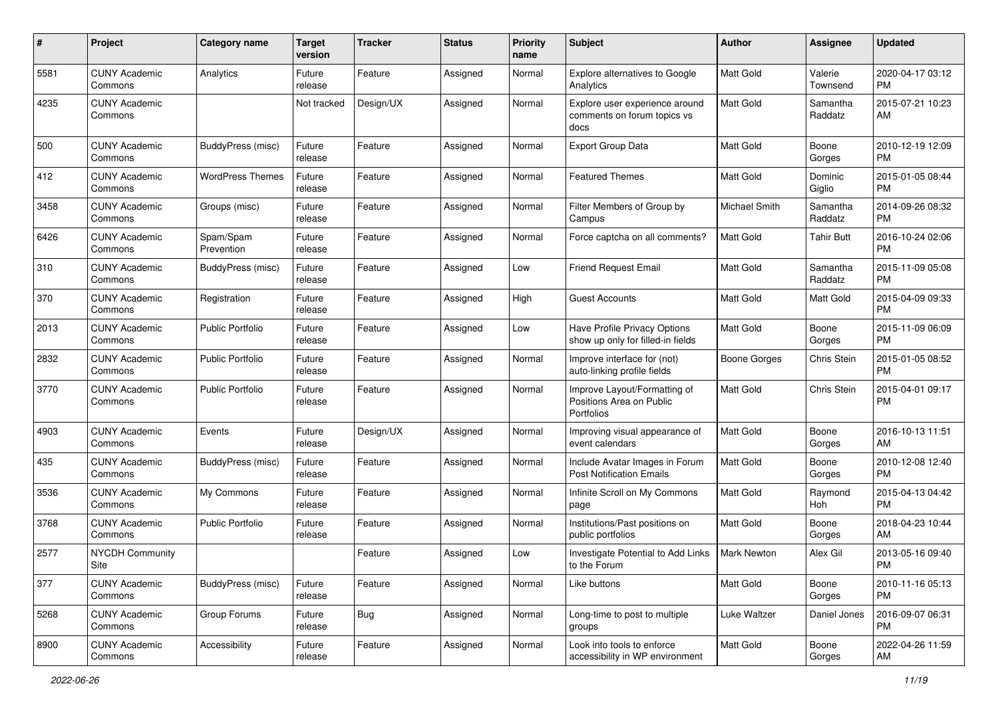| #    | Project                         | <b>Category name</b>    | <b>Target</b><br>version | <b>Tracker</b> | <b>Status</b> | <b>Priority</b><br>name | <b>Subject</b>                                                         | Author              | <b>Assignee</b>     | <b>Updated</b>                |
|------|---------------------------------|-------------------------|--------------------------|----------------|---------------|-------------------------|------------------------------------------------------------------------|---------------------|---------------------|-------------------------------|
| 5581 | <b>CUNY Academic</b><br>Commons | Analytics               | Future<br>release        | Feature        | Assigned      | Normal                  | Explore alternatives to Google<br>Analytics                            | <b>Matt Gold</b>    | Valerie<br>Townsend | 2020-04-17 03:12<br>РM        |
| 4235 | <b>CUNY Academic</b><br>Commons |                         | Not tracked              | Design/UX      | Assigned      | Normal                  | Explore user experience around<br>comments on forum topics vs<br>docs  | Matt Gold           | Samantha<br>Raddatz | 2015-07-21 10:23<br>AM        |
| 500  | <b>CUNY Academic</b><br>Commons | BuddyPress (misc)       | Future<br>release        | Feature        | Assigned      | Normal                  | Export Group Data                                                      | Matt Gold           | Boone<br>Gorges     | 2010-12-19 12:09<br><b>PM</b> |
| 412  | <b>CUNY Academic</b><br>Commons | <b>WordPress Themes</b> | Future<br>release        | Feature        | Assigned      | Normal                  | <b>Featured Themes</b>                                                 | <b>Matt Gold</b>    | Dominic<br>Giglio   | 2015-01-05 08:44<br><b>PM</b> |
| 3458 | <b>CUNY Academic</b><br>Commons | Groups (misc)           | Future<br>release        | Feature        | Assigned      | Normal                  | Filter Members of Group by<br>Campus                                   | Michael Smith       | Samantha<br>Raddatz | 2014-09-26 08:32<br><b>PM</b> |
| 6426 | <b>CUNY Academic</b><br>Commons | Spam/Spam<br>Prevention | Future<br>release        | Feature        | Assigned      | Normal                  | Force captcha on all comments?                                         | <b>Matt Gold</b>    | Tahir Butt          | 2016-10-24 02:06<br><b>PM</b> |
| 310  | <b>CUNY Academic</b><br>Commons | BuddyPress (misc)       | Future<br>release        | Feature        | Assigned      | Low                     | <b>Friend Request Email</b>                                            | Matt Gold           | Samantha<br>Raddatz | 2015-11-09 05:08<br><b>PM</b> |
| 370  | <b>CUNY Academic</b><br>Commons | Registration            | Future<br>release        | Feature        | Assigned      | High                    | Guest Accounts                                                         | Matt Gold           | Matt Gold           | 2015-04-09 09:33<br><b>PM</b> |
| 2013 | <b>CUNY Academic</b><br>Commons | <b>Public Portfolio</b> | Future<br>release        | Feature        | Assigned      | Low                     | Have Profile Privacy Options<br>show up only for filled-in fields      | Matt Gold           | Boone<br>Gorges     | 2015-11-09 06:09<br><b>PM</b> |
| 2832 | <b>CUNY Academic</b><br>Commons | <b>Public Portfolio</b> | Future<br>release        | Feature        | Assigned      | Normal                  | Improve interface for (not)<br>auto-linking profile fields             | <b>Boone Gorges</b> | Chris Stein         | 2015-01-05 08:52<br><b>PM</b> |
| 3770 | <b>CUNY Academic</b><br>Commons | <b>Public Portfolio</b> | Future<br>release        | Feature        | Assigned      | Normal                  | Improve Layout/Formatting of<br>Positions Area on Public<br>Portfolios | <b>Matt Gold</b>    | Chris Stein         | 2015-04-01 09:17<br><b>PM</b> |
| 4903 | <b>CUNY Academic</b><br>Commons | Events                  | Future<br>release        | Design/UX      | Assigned      | Normal                  | Improving visual appearance of<br>event calendars                      | <b>Matt Gold</b>    | Boone<br>Gorges     | 2016-10-13 11:51<br>AM        |
| 435  | <b>CUNY Academic</b><br>Commons | BuddyPress (misc)       | Future<br>release        | Feature        | Assigned      | Normal                  | Include Avatar Images in Forum<br><b>Post Notification Emails</b>      | <b>Matt Gold</b>    | Boone<br>Gorges     | 2010-12-08 12:40<br><b>PM</b> |
| 3536 | <b>CUNY Academic</b><br>Commons | My Commons              | Future<br>release        | Feature        | Assigned      | Normal                  | Infinite Scroll on My Commons<br>page                                  | Matt Gold           | Raymond<br>Hoh      | 2015-04-13 04:42<br><b>PM</b> |
| 3768 | <b>CUNY Academic</b><br>Commons | <b>Public Portfolio</b> | Future<br>release        | Feature        | Assigned      | Normal                  | Institutions/Past positions on<br>public portfolios                    | Matt Gold           | Boone<br>Gorges     | 2018-04-23 10:44<br>AM        |
| 2577 | <b>NYCDH Community</b><br>Site  |                         |                          | Feature        | Assigned      | Low                     | Investigate Potential to Add Links<br>to the Forum                     | <b>Mark Newton</b>  | Alex Gil            | 2013-05-16 09:40<br>PM        |
| 377  | <b>CUNY Academic</b><br>Commons | BuddyPress (misc)       | Future<br>release        | Feature        | Assigned      | Normal                  | Like buttons                                                           | Matt Gold           | Boone<br>Gorges     | 2010-11-16 05:13<br><b>PM</b> |
| 5268 | <b>CUNY Academic</b><br>Commons | Group Forums            | Future<br>release        | <b>Bug</b>     | Assigned      | Normal                  | Long-time to post to multiple<br>groups                                | Luke Waltzer        | Daniel Jones        | 2016-09-07 06:31<br>PM        |
| 8900 | <b>CUNY Academic</b><br>Commons | Accessibility           | Future<br>release        | Feature        | Assigned      | Normal                  | Look into tools to enforce<br>accessibility in WP environment          | Matt Gold           | Boone<br>Gorges     | 2022-04-26 11:59<br>AM        |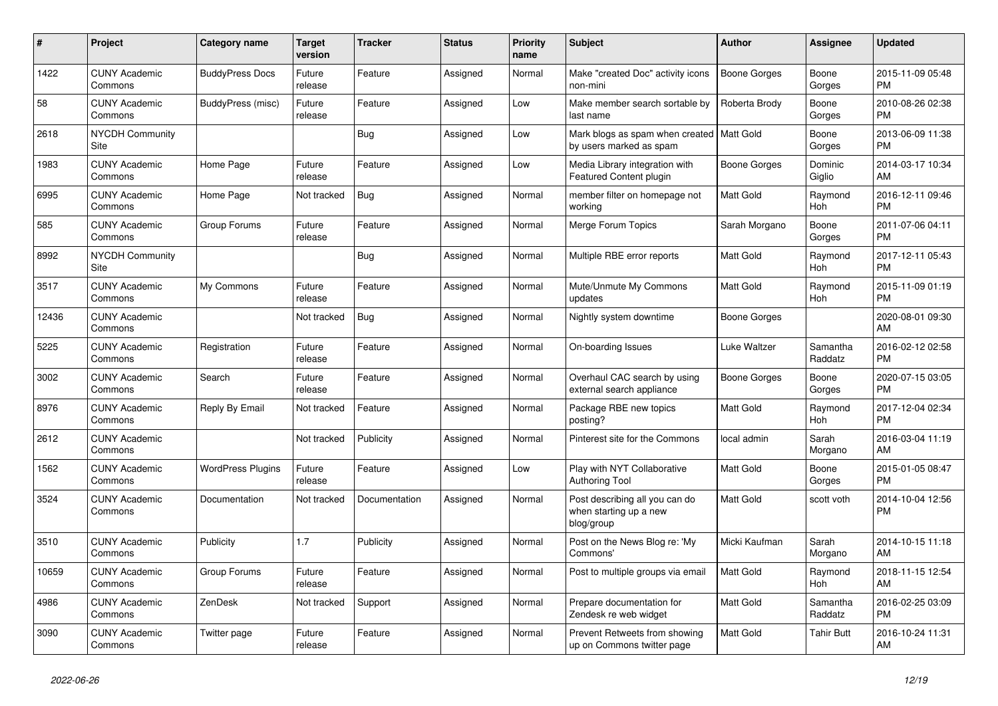| $\pmb{\#}$ | Project                         | Category name            | <b>Target</b><br>version | <b>Tracker</b> | <b>Status</b> | <b>Priority</b><br>name | <b>Subject</b>                                                         | <b>Author</b>       | <b>Assignee</b>       | <b>Updated</b>                |
|------------|---------------------------------|--------------------------|--------------------------|----------------|---------------|-------------------------|------------------------------------------------------------------------|---------------------|-----------------------|-------------------------------|
| 1422       | <b>CUNY Academic</b><br>Commons | <b>BuddyPress Docs</b>   | Future<br>release        | Feature        | Assigned      | Normal                  | Make "created Doc" activity icons<br>non-mini                          | <b>Boone Gorges</b> | Boone<br>Gorges       | 2015-11-09 05:48<br><b>PM</b> |
| 58         | <b>CUNY Academic</b><br>Commons | BuddyPress (misc)        | Future<br>release        | Feature        | Assigned      | Low                     | Make member search sortable by<br>last name                            | Roberta Brody       | Boone<br>Gorges       | 2010-08-26 02:38<br><b>PM</b> |
| 2618       | <b>NYCDH Community</b><br>Site  |                          |                          | <b>Bug</b>     | Assigned      | Low                     | Mark blogs as spam when created   Matt Gold<br>by users marked as spam |                     | Boone<br>Gorges       | 2013-06-09 11:38<br><b>PM</b> |
| 1983       | <b>CUNY Academic</b><br>Commons | Home Page                | Future<br>release        | Feature        | Assigned      | Low                     | Media Library integration with<br>Featured Content plugin              | Boone Gorges        | Dominic<br>Giglio     | 2014-03-17 10:34<br>AM        |
| 6995       | <b>CUNY Academic</b><br>Commons | Home Page                | Not tracked              | Bug            | Assigned      | Normal                  | member filter on homepage not<br>working                               | Matt Gold           | Raymond<br>Hoh        | 2016-12-11 09:46<br><b>PM</b> |
| 585        | <b>CUNY Academic</b><br>Commons | Group Forums             | Future<br>release        | Feature        | Assigned      | Normal                  | Merge Forum Topics                                                     | Sarah Morgano       | Boone<br>Gorges       | 2011-07-06 04:11<br><b>PM</b> |
| 8992       | <b>NYCDH Community</b><br>Site  |                          |                          | <b>Bug</b>     | Assigned      | Normal                  | Multiple RBE error reports                                             | <b>Matt Gold</b>    | Raymond<br><b>Hoh</b> | 2017-12-11 05:43<br><b>PM</b> |
| 3517       | <b>CUNY Academic</b><br>Commons | My Commons               | Future<br>release        | Feature        | Assigned      | Normal                  | Mute/Unmute My Commons<br>updates                                      | <b>Matt Gold</b>    | Raymond<br>Hoh        | 2015-11-09 01:19<br><b>PM</b> |
| 12436      | <b>CUNY Academic</b><br>Commons |                          | Not tracked              | <b>Bug</b>     | Assigned      | Normal                  | Nightly system downtime                                                | Boone Gorges        |                       | 2020-08-01 09:30<br>AM        |
| 5225       | <b>CUNY Academic</b><br>Commons | Registration             | Future<br>release        | Feature        | Assigned      | Normal                  | On-boarding Issues                                                     | Luke Waltzer        | Samantha<br>Raddatz   | 2016-02-12 02:58<br><b>PM</b> |
| 3002       | <b>CUNY Academic</b><br>Commons | Search                   | Future<br>release        | Feature        | Assigned      | Normal                  | Overhaul CAC search by using<br>external search appliance              | Boone Gorges        | Boone<br>Gorges       | 2020-07-15 03:05<br><b>PM</b> |
| 8976       | <b>CUNY Academic</b><br>Commons | Reply By Email           | Not tracked              | Feature        | Assigned      | Normal                  | Package RBE new topics<br>posting?                                     | Matt Gold           | Raymond<br>Hoh        | 2017-12-04 02:34<br><b>PM</b> |
| 2612       | <b>CUNY Academic</b><br>Commons |                          | Not tracked              | Publicity      | Assigned      | Normal                  | Pinterest site for the Commons                                         | local admin         | Sarah<br>Morgano      | 2016-03-04 11:19<br>AM        |
| 1562       | <b>CUNY Academic</b><br>Commons | <b>WordPress Plugins</b> | Future<br>release        | Feature        | Assigned      | Low                     | Play with NYT Collaborative<br><b>Authoring Tool</b>                   | Matt Gold           | Boone<br>Gorges       | 2015-01-05 08:47<br><b>PM</b> |
| 3524       | <b>CUNY Academic</b><br>Commons | Documentation            | Not tracked              | Documentation  | Assigned      | Normal                  | Post describing all you can do<br>when starting up a new<br>blog/group | <b>Matt Gold</b>    | scott voth            | 2014-10-04 12:56<br><b>PM</b> |
| 3510       | <b>CUNY Academic</b><br>Commons | Publicity                | 1.7                      | Publicity      | Assigned      | Normal                  | Post on the News Blog re: 'My<br>Commons'                              | Micki Kaufman       | Sarah<br>Morgano      | 2014-10-15 11:18<br>AM        |
| 10659      | <b>CUNY Academic</b><br>Commons | Group Forums             | Future<br>release        | Feature        | Assigned      | Normal                  | Post to multiple groups via email                                      | <b>Matt Gold</b>    | Raymond<br><b>Hoh</b> | 2018-11-15 12:54<br>AM        |
| 4986       | <b>CUNY Academic</b><br>Commons | ZenDesk                  | Not tracked              | Support        | Assigned      | Normal                  | Prepare documentation for<br>Zendesk re web widget                     | <b>Matt Gold</b>    | Samantha<br>Raddatz   | 2016-02-25 03:09<br><b>PM</b> |
| 3090       | <b>CUNY Academic</b><br>Commons | Twitter page             | Future<br>release        | Feature        | Assigned      | Normal                  | Prevent Retweets from showing<br>up on Commons twitter page            | Matt Gold           | <b>Tahir Butt</b>     | 2016-10-24 11:31<br>AM        |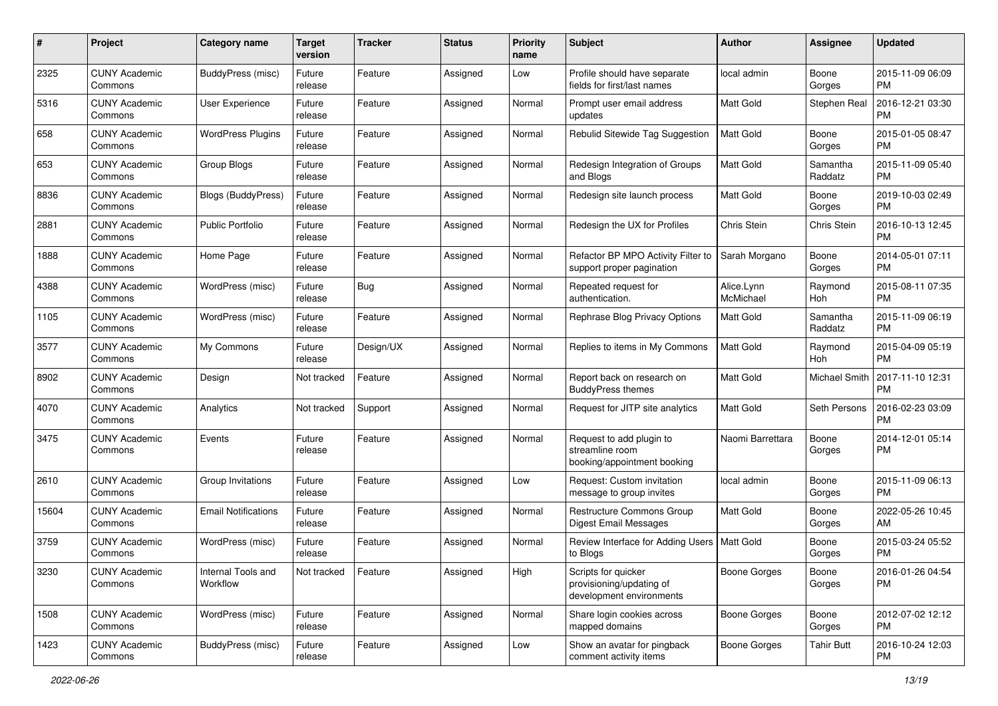| #     | Project                         | <b>Category name</b>           | <b>Target</b><br>version | <b>Tracker</b> | <b>Status</b> | <b>Priority</b><br>name | Subject                                                                     | Author                  | <b>Assignee</b>     | <b>Updated</b>                |
|-------|---------------------------------|--------------------------------|--------------------------|----------------|---------------|-------------------------|-----------------------------------------------------------------------------|-------------------------|---------------------|-------------------------------|
| 2325  | <b>CUNY Academic</b><br>Commons | BuddyPress (misc)              | Future<br>release        | Feature        | Assigned      | Low                     | Profile should have separate<br>fields for first/last names                 | local admin             | Boone<br>Gorges     | 2015-11-09 06:09<br>PM        |
| 5316  | <b>CUNY Academic</b><br>Commons | User Experience                | Future<br>release        | Feature        | Assigned      | Normal                  | Prompt user email address<br>updates                                        | Matt Gold               | Stephen Real        | 2016-12-21 03:30<br><b>PM</b> |
| 658   | <b>CUNY Academic</b><br>Commons | <b>WordPress Plugins</b>       | Future<br>release        | Feature        | Assigned      | Normal                  | Rebulid Sitewide Tag Suggestion                                             | Matt Gold               | Boone<br>Gorges     | 2015-01-05 08:47<br><b>PM</b> |
| 653   | <b>CUNY Academic</b><br>Commons | Group Blogs                    | Future<br>release        | Feature        | Assigned      | Normal                  | Redesign Integration of Groups<br>and Blogs                                 | Matt Gold               | Samantha<br>Raddatz | 2015-11-09 05:40<br><b>PM</b> |
| 8836  | <b>CUNY Academic</b><br>Commons | <b>Blogs (BuddyPress)</b>      | Future<br>release        | Feature        | Assigned      | Normal                  | Redesign site launch process                                                | Matt Gold               | Boone<br>Gorges     | 2019-10-03 02:49<br><b>PM</b> |
| 2881  | <b>CUNY Academic</b><br>Commons | <b>Public Portfolio</b>        | Future<br>release        | Feature        | Assigned      | Normal                  | Redesign the UX for Profiles                                                | Chris Stein             | Chris Stein         | 2016-10-13 12:45<br><b>PM</b> |
| 1888  | <b>CUNY Academic</b><br>Commons | Home Page                      | Future<br>release        | Feature        | Assigned      | Normal                  | Refactor BP MPO Activity Filter to<br>support proper pagination             | Sarah Morgano           | Boone<br>Gorges     | 2014-05-01 07:11<br><b>PM</b> |
| 4388  | <b>CUNY Academic</b><br>Commons | WordPress (misc)               | Future<br>release        | Bug            | Assigned      | Normal                  | Repeated request for<br>authentication.                                     | Alice.Lynn<br>McMichael | Raymond<br>Hoh      | 2015-08-11 07:35<br><b>PM</b> |
| 1105  | <b>CUNY Academic</b><br>Commons | WordPress (misc)               | Future<br>release        | Feature        | Assigned      | Normal                  | Rephrase Blog Privacy Options                                               | <b>Matt Gold</b>        | Samantha<br>Raddatz | 2015-11-09 06:19<br><b>PM</b> |
| 3577  | <b>CUNY Academic</b><br>Commons | My Commons                     | Future<br>release        | Design/UX      | Assigned      | Normal                  | Replies to items in My Commons                                              | <b>Matt Gold</b>        | Raymond<br>Hoh      | 2015-04-09 05:19<br><b>PM</b> |
| 8902  | <b>CUNY Academic</b><br>Commons | Design                         | Not tracked              | Feature        | Assigned      | Normal                  | Report back on research on<br><b>BuddyPress themes</b>                      | <b>Matt Gold</b>        | Michael Smith       | 2017-11-10 12:31<br><b>PM</b> |
| 4070  | <b>CUNY Academic</b><br>Commons | Analytics                      | Not tracked              | Support        | Assigned      | Normal                  | Request for JITP site analytics                                             | Matt Gold               | Seth Persons        | 2016-02-23 03:09<br><b>PM</b> |
| 3475  | <b>CUNY Academic</b><br>Commons | Events                         | Future<br>release        | Feature        | Assigned      | Normal                  | Request to add plugin to<br>streamline room<br>booking/appointment booking  | Naomi Barrettara        | Boone<br>Gorges     | 2014-12-01 05:14<br>PM        |
| 2610  | <b>CUNY Academic</b><br>Commons | Group Invitations              | Future<br>release        | Feature        | Assigned      | Low                     | Request: Custom invitation<br>message to group invites                      | local admin             | Boone<br>Gorges     | 2015-11-09 06:13<br><b>PM</b> |
| 15604 | <b>CUNY Academic</b><br>Commons | <b>Email Notifications</b>     | Future<br>release        | Feature        | Assigned      | Normal                  | <b>Restructure Commons Group</b><br><b>Digest Email Messages</b>            | Matt Gold               | Boone<br>Gorges     | 2022-05-26 10:45<br>AM        |
| 3759  | <b>CUNY Academic</b><br>Commons | WordPress (misc)               | Future<br>release        | Feature        | Assigned      | Normal                  | Review Interface for Adding Users   Matt Gold<br>to Blogs                   |                         | Boone<br>Gorges     | 2015-03-24 05:52<br>PM        |
| 3230  | <b>CUNY Academic</b><br>Commons | Internal Tools and<br>Workflow | Not tracked              | Feature        | Assigned      | High                    | Scripts for quicker<br>provisioning/updating of<br>development environments | <b>Boone Gorges</b>     | Boone<br>Gorges     | 2016-01-26 04:54<br><b>PM</b> |
| 1508  | <b>CUNY Academic</b><br>Commons | WordPress (misc)               | Future<br>release        | Feature        | Assigned      | Normal                  | Share login cookies across<br>mapped domains                                | <b>Boone Gorges</b>     | Boone<br>Gorges     | 2012-07-02 12:12<br>PM        |
| 1423  | <b>CUNY Academic</b><br>Commons | BuddyPress (misc)              | Future<br>release        | Feature        | Assigned      | Low                     | Show an avatar for pingback<br>comment activity items                       | Boone Gorges            | <b>Tahir Butt</b>   | 2016-10-24 12:03<br><b>PM</b> |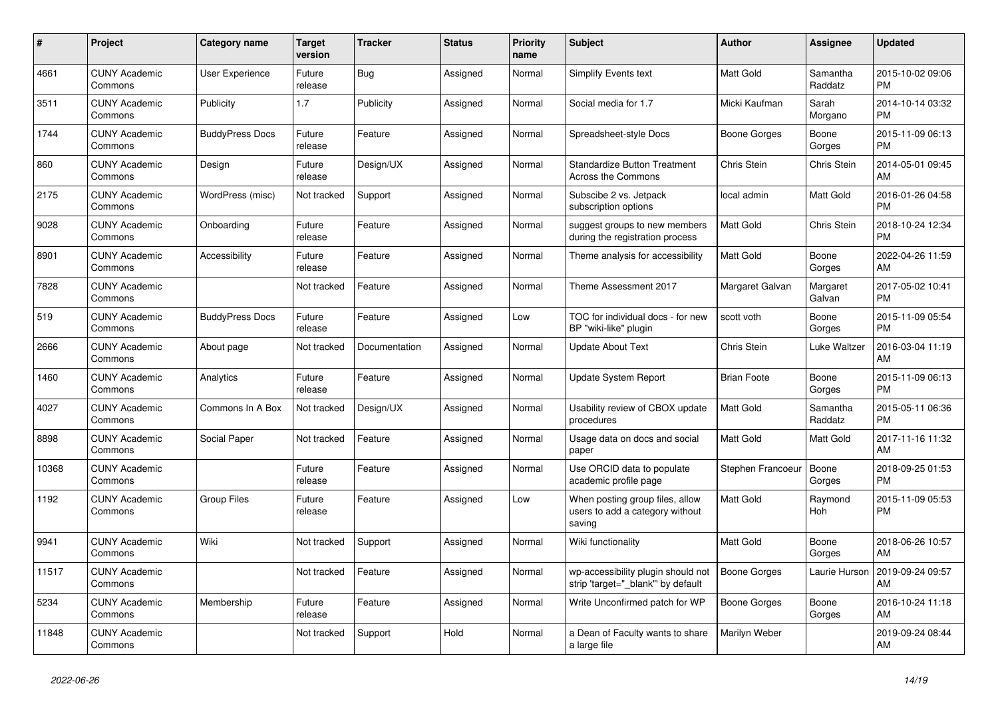| $\#$  | Project                         | Category name          | <b>Target</b><br>version | <b>Tracker</b> | <b>Status</b> | <b>Priority</b><br>name | <b>Subject</b>                                                               | Author              | <b>Assignee</b>     | <b>Updated</b>                |
|-------|---------------------------------|------------------------|--------------------------|----------------|---------------|-------------------------|------------------------------------------------------------------------------|---------------------|---------------------|-------------------------------|
| 4661  | <b>CUNY Academic</b><br>Commons | <b>User Experience</b> | Future<br>release        | Bug            | Assigned      | Normal                  | Simplify Events text                                                         | <b>Matt Gold</b>    | Samantha<br>Raddatz | 2015-10-02 09:06<br><b>PM</b> |
| 3511  | <b>CUNY Academic</b><br>Commons | Publicity              | 1.7                      | Publicity      | Assigned      | Normal                  | Social media for 1.7                                                         | Micki Kaufman       | Sarah<br>Morgano    | 2014-10-14 03:32<br><b>PM</b> |
| 1744  | <b>CUNY Academic</b><br>Commons | <b>BuddyPress Docs</b> | Future<br>release        | Feature        | Assigned      | Normal                  | Spreadsheet-style Docs                                                       | Boone Gorges        | Boone<br>Gorges     | 2015-11-09 06:13<br><b>PM</b> |
| 860   | <b>CUNY Academic</b><br>Commons | Design                 | Future<br>release        | Design/UX      | Assigned      | Normal                  | <b>Standardize Button Treatment</b><br>Across the Commons                    | Chris Stein         | Chris Stein         | 2014-05-01 09:45<br>AM        |
| 2175  | <b>CUNY Academic</b><br>Commons | WordPress (misc)       | Not tracked              | Support        | Assigned      | Normal                  | Subscibe 2 vs. Jetpack<br>subscription options                               | local admin         | <b>Matt Gold</b>    | 2016-01-26 04:58<br><b>PM</b> |
| 9028  | <b>CUNY Academic</b><br>Commons | Onboarding             | Future<br>release        | Feature        | Assigned      | Normal                  | suggest groups to new members<br>during the registration process             | Matt Gold           | Chris Stein         | 2018-10-24 12:34<br><b>PM</b> |
| 8901  | <b>CUNY Academic</b><br>Commons | Accessibility          | Future<br>release        | Feature        | Assigned      | Normal                  | Theme analysis for accessibility                                             | <b>Matt Gold</b>    | Boone<br>Gorges     | 2022-04-26 11:59<br>AM        |
| 7828  | <b>CUNY Academic</b><br>Commons |                        | Not tracked              | Feature        | Assigned      | Normal                  | Theme Assessment 2017                                                        | Margaret Galvan     | Margaret<br>Galvan  | 2017-05-02 10:41<br><b>PM</b> |
| 519   | <b>CUNY Academic</b><br>Commons | <b>BuddyPress Docs</b> | Future<br>release        | Feature        | Assigned      | Low                     | TOC for individual docs - for new<br>BP "wiki-like" plugin                   | scott voth          | Boone<br>Gorges     | 2015-11-09 05:54<br><b>PM</b> |
| 2666  | <b>CUNY Academic</b><br>Commons | About page             | Not tracked              | Documentation  | Assigned      | Normal                  | <b>Update About Text</b>                                                     | <b>Chris Stein</b>  | Luke Waltzer        | 2016-03-04 11:19<br>AM        |
| 1460  | <b>CUNY Academic</b><br>Commons | Analytics              | Future<br>release        | Feature        | Assigned      | Normal                  | Update System Report                                                         | <b>Brian Foote</b>  | Boone<br>Gorges     | 2015-11-09 06:13<br><b>PM</b> |
| 4027  | <b>CUNY Academic</b><br>Commons | Commons In A Box       | Not tracked              | Design/UX      | Assigned      | Normal                  | Usability review of CBOX update<br>procedures                                | <b>Matt Gold</b>    | Samantha<br>Raddatz | 2015-05-11 06:36<br><b>PM</b> |
| 8898  | <b>CUNY Academic</b><br>Commons | Social Paper           | Not tracked              | Feature        | Assigned      | Normal                  | Usage data on docs and social<br>paper                                       | <b>Matt Gold</b>    | Matt Gold           | 2017-11-16 11:32<br>AM        |
| 10368 | <b>CUNY Academic</b><br>Commons |                        | Future<br>release        | Feature        | Assigned      | Normal                  | Use ORCID data to populate<br>academic profile page                          | Stephen Francoeur   | Boone<br>Gorges     | 2018-09-25 01:53<br><b>PM</b> |
| 1192  | <b>CUNY Academic</b><br>Commons | <b>Group Files</b>     | Future<br>release        | Feature        | Assigned      | Low                     | When posting group files, allow<br>users to add a category without<br>saving | <b>Matt Gold</b>    | Raymond<br>Hoh      | 2015-11-09 05:53<br><b>PM</b> |
| 9941  | <b>CUNY Academic</b><br>Commons | Wiki                   | Not tracked              | Support        | Assigned      | Normal                  | Wiki functionality                                                           | <b>Matt Gold</b>    | Boone<br>Gorges     | 2018-06-26 10:57<br>AM        |
| 11517 | <b>CUNY Academic</b><br>Commons |                        | Not tracked              | Feature        | Assigned      | Normal                  | wp-accessibility plugin should not<br>strip 'target=" blank" by default      | <b>Boone Gorges</b> | Laurie Hurson       | 2019-09-24 09:57<br>AM        |
| 5234  | <b>CUNY Academic</b><br>Commons | Membership             | Future<br>release        | Feature        | Assigned      | Normal                  | Write Unconfirmed patch for WP                                               | Boone Gorges        | Boone<br>Gorges     | 2016-10-24 11:18<br>AM        |
| 11848 | <b>CUNY Academic</b><br>Commons |                        | Not tracked              | Support        | Hold          | Normal                  | a Dean of Faculty wants to share<br>a large file                             | Marilyn Weber       |                     | 2019-09-24 08:44<br>AM        |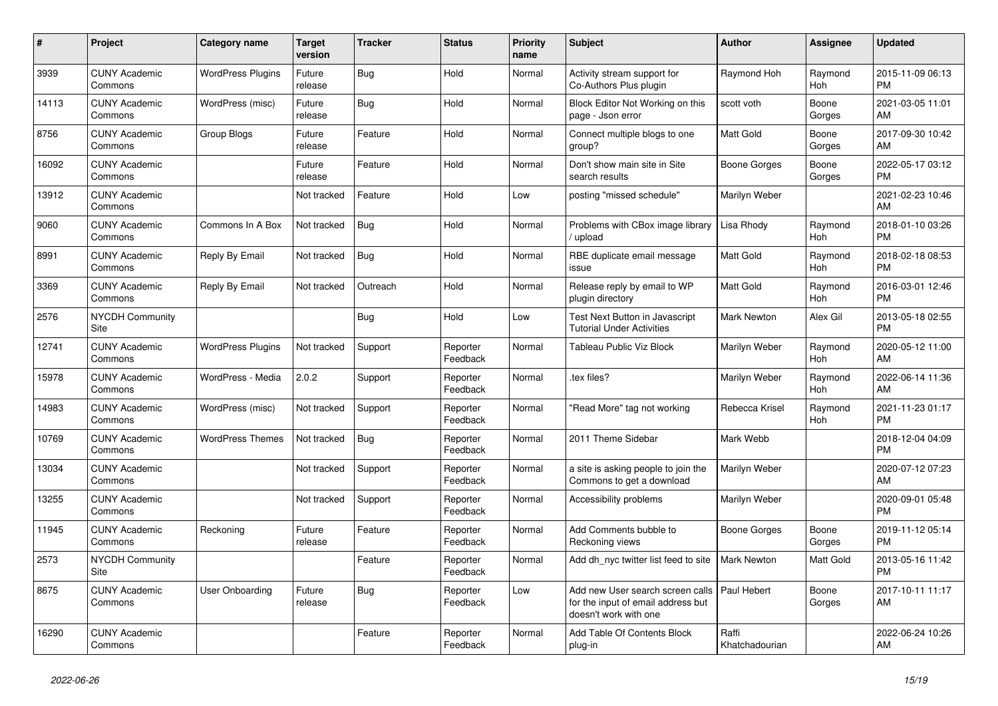| #     | Project                         | <b>Category name</b>     | <b>Target</b><br>version | <b>Tracker</b> | <b>Status</b>        | <b>Priority</b><br>name | <b>Subject</b>                                                                                  | <b>Author</b>           | Assignee              | <b>Updated</b>                |
|-------|---------------------------------|--------------------------|--------------------------|----------------|----------------------|-------------------------|-------------------------------------------------------------------------------------------------|-------------------------|-----------------------|-------------------------------|
| 3939  | <b>CUNY Academic</b><br>Commons | <b>WordPress Plugins</b> | Future<br>release        | Bug            | Hold                 | Normal                  | Activity stream support for<br>Co-Authors Plus plugin                                           | Raymond Hoh             | Raymond<br>Hoh        | 2015-11-09 06:13<br><b>PM</b> |
| 14113 | <b>CUNY Academic</b><br>Commons | WordPress (misc)         | Future<br>release        | Bug            | Hold                 | Normal                  | Block Editor Not Working on this<br>page - Json error                                           | scott voth              | Boone<br>Gorges       | 2021-03-05 11:01<br>AM        |
| 8756  | <b>CUNY Academic</b><br>Commons | Group Blogs              | Future<br>release        | Feature        | Hold                 | Normal                  | Connect multiple blogs to one<br>group?                                                         | Matt Gold               | Boone<br>Gorges       | 2017-09-30 10:42<br>AM        |
| 16092 | <b>CUNY Academic</b><br>Commons |                          | Future<br>release        | Feature        | Hold                 | Normal                  | Don't show main site in Site<br>search results                                                  | Boone Gorges            | Boone<br>Gorges       | 2022-05-17 03:12<br><b>PM</b> |
| 13912 | <b>CUNY Academic</b><br>Commons |                          | Not tracked              | Feature        | Hold                 | Low                     | posting "missed schedule"                                                                       | Marilyn Weber           |                       | 2021-02-23 10:46<br>AM        |
| 9060  | <b>CUNY Academic</b><br>Commons | Commons In A Box         | Not tracked              | Bug            | Hold                 | Normal                  | Problems with CBox image library<br>upload                                                      | Lisa Rhody              | Raymond<br>Hoh        | 2018-01-10 03:26<br><b>PM</b> |
| 8991  | <b>CUNY Academic</b><br>Commons | Reply By Email           | Not tracked              | <b>Bug</b>     | Hold                 | Normal                  | RBE duplicate email message<br>issue                                                            | <b>Matt Gold</b>        | Raymond<br>Hoh        | 2018-02-18 08:53<br><b>PM</b> |
| 3369  | <b>CUNY Academic</b><br>Commons | Reply By Email           | Not tracked              | Outreach       | Hold                 | Normal                  | Release reply by email to WP<br>plugin directory                                                | Matt Gold               | Raymond<br>Hoh        | 2016-03-01 12:46<br><b>PM</b> |
| 2576  | <b>NYCDH Community</b><br>Site  |                          |                          | <b>Bug</b>     | Hold                 | Low                     | Test Next Button in Javascript<br>Tutorial Under Activities                                     | Mark Newton             | Alex Gil              | 2013-05-18 02:55<br><b>PM</b> |
| 12741 | <b>CUNY Academic</b><br>Commons | <b>WordPress Plugins</b> | Not tracked              | Support        | Reporter<br>Feedback | Normal                  | Tableau Public Viz Block                                                                        | Marilyn Weber           | Raymond<br>Hoh        | 2020-05-12 11:00<br>AM        |
| 15978 | <b>CUNY Academic</b><br>Commons | WordPress - Media        | 2.0.2                    | Support        | Reporter<br>Feedback | Normal                  | tex files?                                                                                      | Marilyn Weber           | Raymond<br>Hoh        | 2022-06-14 11:36<br>AM        |
| 14983 | <b>CUNY Academic</b><br>Commons | WordPress (misc)         | Not tracked              | Support        | Reporter<br>Feedback | Normal                  | "Read More" tag not working                                                                     | Rebecca Krisel          | Raymond<br><b>Hoh</b> | 2021-11-23 01:17<br><b>PM</b> |
| 10769 | <b>CUNY Academic</b><br>Commons | <b>WordPress Themes</b>  | Not tracked              | <b>Bug</b>     | Reporter<br>Feedback | Normal                  | 2011 Theme Sidebar                                                                              | Mark Webb               |                       | 2018-12-04 04:09<br><b>PM</b> |
| 13034 | <b>CUNY Academic</b><br>Commons |                          | Not tracked              | Support        | Reporter<br>Feedback | Normal                  | a site is asking people to join the<br>Commons to get a download                                | Marilyn Weber           |                       | 2020-07-12 07:23<br>AM        |
| 13255 | <b>CUNY Academic</b><br>Commons |                          | Not tracked              | Support        | Reporter<br>Feedback | Normal                  | Accessibility problems                                                                          | Marilyn Weber           |                       | 2020-09-01 05:48<br><b>PM</b> |
| 11945 | <b>CUNY Academic</b><br>Commons | Reckoning                | Future<br>release        | Feature        | Reporter<br>Feedback | Normal                  | Add Comments bubble to<br>Reckoning views                                                       | Boone Gorges            | Boone<br>Gorges       | 2019-11-12 05:14<br><b>PM</b> |
| 2573  | <b>NYCDH Community</b><br>Site  |                          |                          | Feature        | Reporter<br>Feedback | Normal                  | Add dh_nyc twitter list feed to site                                                            | <b>Mark Newton</b>      | Matt Gold             | 2013-05-16 11:42<br><b>PM</b> |
| 8675  | <b>CUNY Academic</b><br>Commons | User Onboarding          | Future<br>release        | <b>Bug</b>     | Reporter<br>Feedback | Low                     | Add new User search screen calls<br>for the input of email address but<br>doesn't work with one | Paul Hebert             | Boone<br>Gorges       | 2017-10-11 11:17<br>AM        |
| 16290 | <b>CUNY Academic</b><br>Commons |                          |                          | Feature        | Reporter<br>Feedback | Normal                  | Add Table Of Contents Block<br>plug-in                                                          | Raffi<br>Khatchadourian |                       | 2022-06-24 10:26<br>AM        |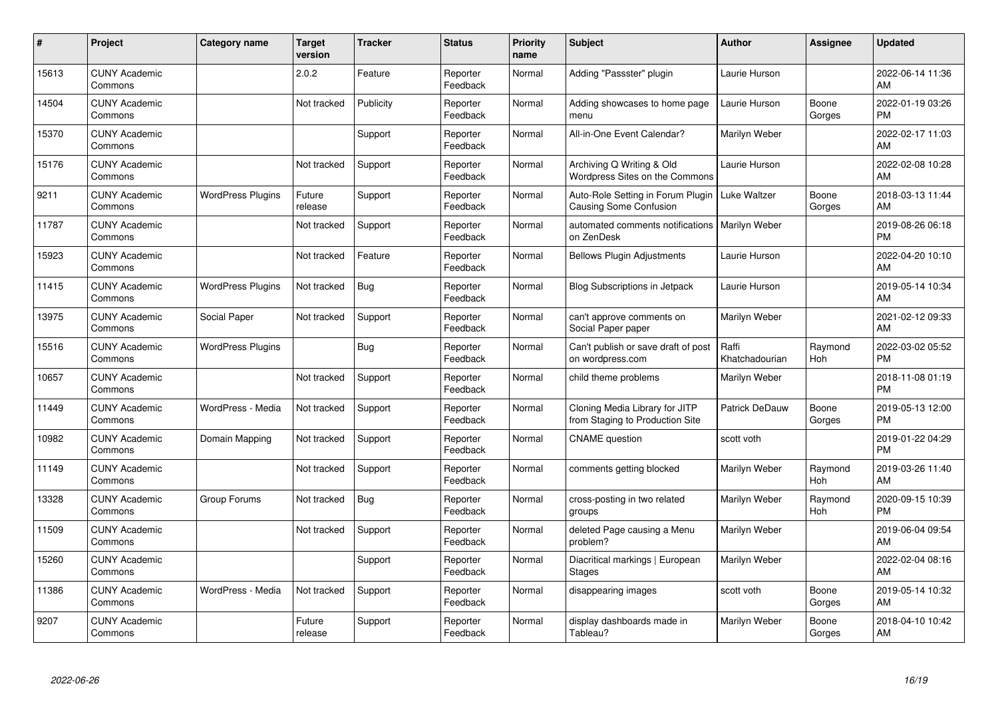| #     | Project                         | <b>Category name</b>     | <b>Target</b><br>version | <b>Tracker</b> | <b>Status</b>        | <b>Priority</b><br>name | <b>Subject</b>                                                     | <b>Author</b>           | <b>Assignee</b>       | <b>Updated</b>                |
|-------|---------------------------------|--------------------------|--------------------------|----------------|----------------------|-------------------------|--------------------------------------------------------------------|-------------------------|-----------------------|-------------------------------|
| 15613 | <b>CUNY Academic</b><br>Commons |                          | 2.0.2                    | Feature        | Reporter<br>Feedback | Normal                  | Adding "Passster" plugin                                           | Laurie Hurson           |                       | 2022-06-14 11:36<br>AM        |
| 14504 | <b>CUNY Academic</b><br>Commons |                          | Not tracked              | Publicity      | Reporter<br>Feedback | Normal                  | Adding showcases to home page<br>menu                              | Laurie Hurson           | Boone<br>Gorges       | 2022-01-19 03:26<br><b>PM</b> |
| 15370 | <b>CUNY Academic</b><br>Commons |                          |                          | Support        | Reporter<br>Feedback | Normal                  | All-in-One Event Calendar?                                         | Marilyn Weber           |                       | 2022-02-17 11:03<br>AM        |
| 15176 | <b>CUNY Academic</b><br>Commons |                          | Not tracked              | Support        | Reporter<br>Feedback | Normal                  | Archiving Q Writing & Old<br>Wordpress Sites on the Commons        | Laurie Hurson           |                       | 2022-02-08 10:28<br>AM        |
| 9211  | <b>CUNY Academic</b><br>Commons | <b>WordPress Plugins</b> | Future<br>release        | Support        | Reporter<br>Feedback | Normal                  | Auto-Role Setting in Forum Plugin<br><b>Causing Some Confusion</b> | Luke Waltzer            | Boone<br>Gorges       | 2018-03-13 11:44<br>AM        |
| 11787 | <b>CUNY Academic</b><br>Commons |                          | Not tracked              | Support        | Reporter<br>Feedback | Normal                  | automated comments notifications<br>on ZenDesk                     | <b>Marilyn Weber</b>    |                       | 2019-08-26 06:18<br><b>PM</b> |
| 15923 | <b>CUNY Academic</b><br>Commons |                          | Not tracked              | Feature        | Reporter<br>Feedback | Normal                  | <b>Bellows Plugin Adjustments</b>                                  | Laurie Hurson           |                       | 2022-04-20 10:10<br>AM        |
| 11415 | <b>CUNY Academic</b><br>Commons | <b>WordPress Plugins</b> | Not tracked              | Bug            | Reporter<br>Feedback | Normal                  | <b>Blog Subscriptions in Jetpack</b>                               | Laurie Hurson           |                       | 2019-05-14 10:34<br>AM        |
| 13975 | <b>CUNY Academic</b><br>Commons | Social Paper             | Not tracked              | Support        | Reporter<br>Feedback | Normal                  | can't approve comments on<br>Social Paper paper                    | Marilyn Weber           |                       | 2021-02-12 09:33<br>AM        |
| 15516 | <b>CUNY Academic</b><br>Commons | <b>WordPress Plugins</b> |                          | <b>Bug</b>     | Reporter<br>Feedback | Normal                  | Can't publish or save draft of post<br>on wordpress.com            | Raffi<br>Khatchadourian | Raymond<br>Hoh        | 2022-03-02 05:52<br><b>PM</b> |
| 10657 | <b>CUNY Academic</b><br>Commons |                          | Not tracked              | Support        | Reporter<br>Feedback | Normal                  | child theme problems                                               | Marilyn Weber           |                       | 2018-11-08 01:19<br><b>PM</b> |
| 11449 | <b>CUNY Academic</b><br>Commons | WordPress - Media        | Not tracked              | Support        | Reporter<br>Feedback | Normal                  | Cloning Media Library for JITP<br>from Staging to Production Site  | <b>Patrick DeDauw</b>   | Boone<br>Gorges       | 2019-05-13 12:00<br><b>PM</b> |
| 10982 | <b>CUNY Academic</b><br>Commons | Domain Mapping           | Not tracked              | Support        | Reporter<br>Feedback | Normal                  | <b>CNAME</b> question                                              | scott voth              |                       | 2019-01-22 04:29<br><b>PM</b> |
| 11149 | <b>CUNY Academic</b><br>Commons |                          | Not tracked              | Support        | Reporter<br>Feedback | Normal                  | comments getting blocked                                           | Marilyn Weber           | Raymond<br><b>Hoh</b> | 2019-03-26 11:40<br>AM        |
| 13328 | <b>CUNY Academic</b><br>Commons | Group Forums             | Not tracked              | <b>Bug</b>     | Reporter<br>Feedback | Normal                  | cross-posting in two related<br>groups                             | Marilyn Weber           | Raymond<br>Hoh        | 2020-09-15 10:39<br><b>PM</b> |
| 11509 | <b>CUNY Academic</b><br>Commons |                          | Not tracked              | Support        | Reporter<br>Feedback | Normal                  | deleted Page causing a Menu<br>problem?                            | Marilyn Weber           |                       | 2019-06-04 09:54<br>AM        |
| 15260 | <b>CUNY Academic</b><br>Commons |                          |                          | Support        | Reporter<br>Feedback | Normal                  | Diacritical markings   European<br><b>Stages</b>                   | Marilyn Weber           |                       | 2022-02-04 08:16<br>AM        |
| 11386 | <b>CUNY Academic</b><br>Commons | WordPress - Media        | Not tracked              | Support        | Reporter<br>Feedback | Normal                  | disappearing images                                                | scott voth              | Boone<br>Gorges       | 2019-05-14 10:32<br>AM        |
| 9207  | <b>CUNY Academic</b><br>Commons |                          | Future<br>release        | Support        | Reporter<br>Feedback | Normal                  | display dashboards made in<br>Tableau?                             | Marilyn Weber           | Boone<br>Gorges       | 2018-04-10 10:42<br>AM        |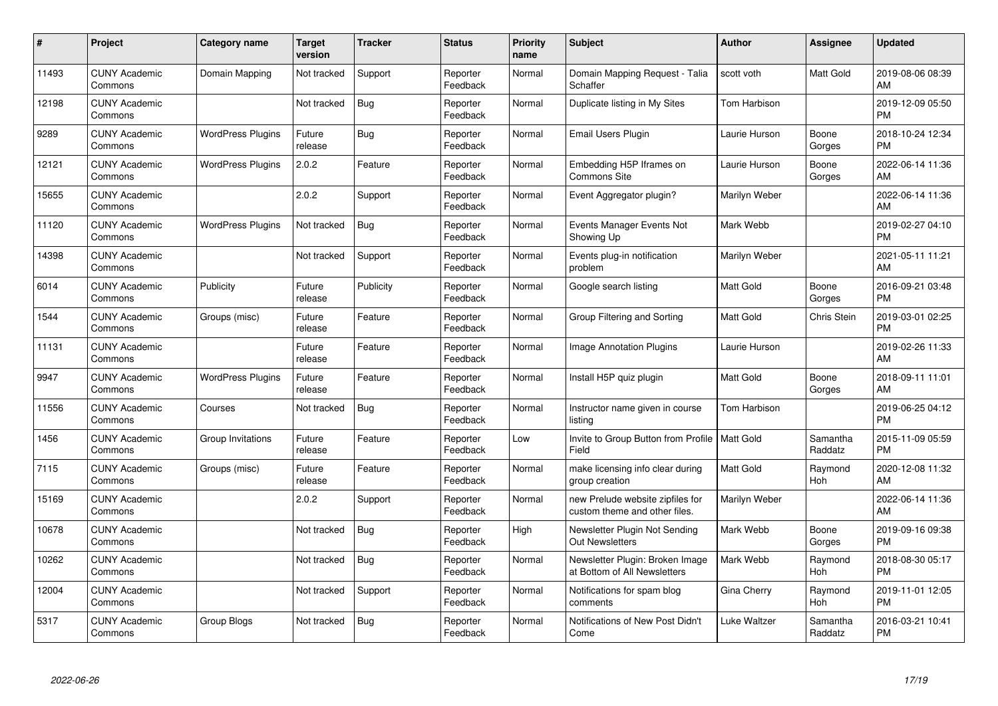| #     | Project                         | <b>Category name</b>     | Target<br>version | <b>Tracker</b> | <b>Status</b>        | <b>Priority</b><br>name | <b>Subject</b>                                                    | <b>Author</b>    | <b>Assignee</b>     | <b>Updated</b>                |
|-------|---------------------------------|--------------------------|-------------------|----------------|----------------------|-------------------------|-------------------------------------------------------------------|------------------|---------------------|-------------------------------|
| 11493 | <b>CUNY Academic</b><br>Commons | Domain Mapping           | Not tracked       | Support        | Reporter<br>Feedback | Normal                  | Domain Mapping Request - Talia<br>Schaffer                        | scott voth       | Matt Gold           | 2019-08-06 08:39<br>AM        |
| 12198 | <b>CUNY Academic</b><br>Commons |                          | Not tracked       | <b>Bug</b>     | Reporter<br>Feedback | Normal                  | Duplicate listing in My Sites                                     | Tom Harbison     |                     | 2019-12-09 05:50<br><b>PM</b> |
| 9289  | <b>CUNY Academic</b><br>Commons | <b>WordPress Plugins</b> | Future<br>release | Bug            | Reporter<br>Feedback | Normal                  | <b>Email Users Plugin</b>                                         | Laurie Hurson    | Boone<br>Gorges     | 2018-10-24 12:34<br><b>PM</b> |
| 12121 | <b>CUNY Academic</b><br>Commons | <b>WordPress Plugins</b> | 2.0.2             | Feature        | Reporter<br>Feedback | Normal                  | Embedding H5P Iframes on<br>Commons Site                          | Laurie Hurson    | Boone<br>Gorges     | 2022-06-14 11:36<br>AM        |
| 15655 | <b>CUNY Academic</b><br>Commons |                          | 2.0.2             | Support        | Reporter<br>Feedback | Normal                  | Event Aggregator plugin?                                          | Marilyn Weber    |                     | 2022-06-14 11:36<br>AM        |
| 11120 | <b>CUNY Academic</b><br>Commons | <b>WordPress Plugins</b> | Not tracked       | Bug            | Reporter<br>Feedback | Normal                  | Events Manager Events Not<br>Showing Up                           | Mark Webb        |                     | 2019-02-27 04:10<br><b>PM</b> |
| 14398 | <b>CUNY Academic</b><br>Commons |                          | Not tracked       | Support        | Reporter<br>Feedback | Normal                  | Events plug-in notification<br>problem                            | Marilyn Weber    |                     | 2021-05-11 11:21<br>AM        |
| 6014  | <b>CUNY Academic</b><br>Commons | Publicity                | Future<br>release | Publicity      | Reporter<br>Feedback | Normal                  | Google search listing                                             | <b>Matt Gold</b> | Boone<br>Gorges     | 2016-09-21 03:48<br><b>PM</b> |
| 1544  | <b>CUNY Academic</b><br>Commons | Groups (misc)            | Future<br>release | Feature        | Reporter<br>Feedback | Normal                  | Group Filtering and Sorting                                       | <b>Matt Gold</b> | Chris Stein         | 2019-03-01 02:25<br><b>PM</b> |
| 11131 | <b>CUNY Academic</b><br>Commons |                          | Future<br>release | Feature        | Reporter<br>Feedback | Normal                  | <b>Image Annotation Plugins</b>                                   | Laurie Hurson    |                     | 2019-02-26 11:33<br>AM        |
| 9947  | <b>CUNY Academic</b><br>Commons | <b>WordPress Plugins</b> | Future<br>release | Feature        | Reporter<br>Feedback | Normal                  | Install H5P quiz plugin                                           | <b>Matt Gold</b> | Boone<br>Gorges     | 2018-09-11 11:01<br>AM        |
| 11556 | <b>CUNY Academic</b><br>Commons | Courses                  | Not tracked       | Bug            | Reporter<br>Feedback | Normal                  | Instructor name given in course<br>listing                        | Tom Harbison     |                     | 2019-06-25 04:12<br><b>PM</b> |
| 1456  | <b>CUNY Academic</b><br>Commons | Group Invitations        | Future<br>release | Feature        | Reporter<br>Feedback | Low                     | Invite to Group Button from Profile   Matt Gold<br>Field          |                  | Samantha<br>Raddatz | 2015-11-09 05:59<br><b>PM</b> |
| 7115  | <b>CUNY Academic</b><br>Commons | Groups (misc)            | Future<br>release | Feature        | Reporter<br>Feedback | Normal                  | make licensing info clear during<br>group creation                | <b>Matt Gold</b> | Raymond<br>Hoh      | 2020-12-08 11:32<br>AM        |
| 15169 | <b>CUNY Academic</b><br>Commons |                          | 2.0.2             | Support        | Reporter<br>Feedback | Normal                  | new Prelude website zipfiles for<br>custom theme and other files. | Marilyn Weber    |                     | 2022-06-14 11:36<br>AM        |
| 10678 | <b>CUNY Academic</b><br>Commons |                          | Not tracked       | <b>Bug</b>     | Reporter<br>Feedback | High                    | Newsletter Plugin Not Sending<br><b>Out Newsletters</b>           | Mark Webb        | Boone<br>Gorges     | 2019-09-16 09:38<br><b>PM</b> |
| 10262 | <b>CUNY Academic</b><br>Commons |                          | Not tracked       | Bug            | Reporter<br>Feedback | Normal                  | Newsletter Plugin: Broken Image<br>at Bottom of All Newsletters   | Mark Webb        | Raymond<br>Hoh      | 2018-08-30 05:17<br><b>PM</b> |
| 12004 | <b>CUNY Academic</b><br>Commons |                          | Not tracked       | Support        | Reporter<br>Feedback | Normal                  | Notifications for spam blog<br>comments                           | Gina Cherry      | Raymond<br>Hoh      | 2019-11-01 12:05<br><b>PM</b> |
| 5317  | <b>CUNY Academic</b><br>Commons | Group Blogs              | Not tracked       | <b>Bug</b>     | Reporter<br>Feedback | Normal                  | Notifications of New Post Didn't<br>Come                          | Luke Waltzer     | Samantha<br>Raddatz | 2016-03-21 10:41<br><b>PM</b> |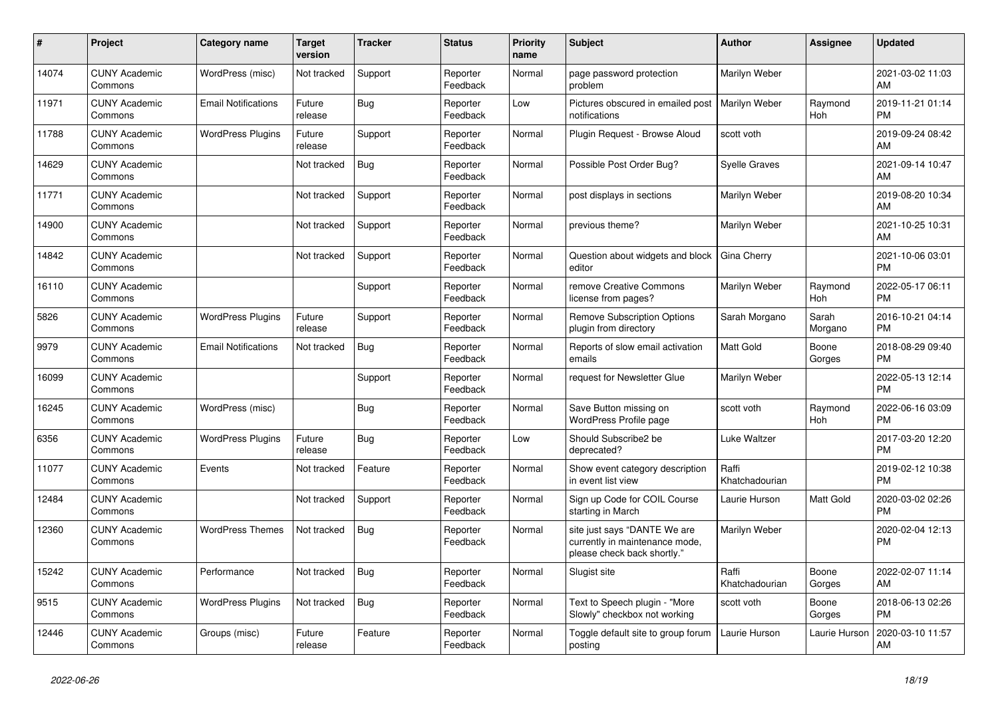| #     | <b>Project</b>                  | Category name              | Target<br>version | <b>Tracker</b> | <b>Status</b>        | <b>Priority</b><br>name | <b>Subject</b>                                                                                | <b>Author</b>           | Assignee         | <b>Updated</b>                |
|-------|---------------------------------|----------------------------|-------------------|----------------|----------------------|-------------------------|-----------------------------------------------------------------------------------------------|-------------------------|------------------|-------------------------------|
| 14074 | <b>CUNY Academic</b><br>Commons | WordPress (misc)           | Not tracked       | Support        | Reporter<br>Feedback | Normal                  | page password protection<br>problem                                                           | Marilyn Weber           |                  | 2021-03-02 11:03<br>AM        |
| 11971 | <b>CUNY Academic</b><br>Commons | <b>Email Notifications</b> | Future<br>release | Bug            | Reporter<br>Feedback | Low                     | Pictures obscured in emailed post<br>notifications                                            | Marilyn Weber           | Raymond<br>Hoh   | 2019-11-21 01:14<br><b>PM</b> |
| 11788 | <b>CUNY Academic</b><br>Commons | <b>WordPress Plugins</b>   | Future<br>release | Support        | Reporter<br>Feedback | Normal                  | Plugin Request - Browse Aloud                                                                 | scott voth              |                  | 2019-09-24 08:42<br>AM        |
| 14629 | <b>CUNY Academic</b><br>Commons |                            | Not tracked       | <b>Bug</b>     | Reporter<br>Feedback | Normal                  | Possible Post Order Bug?                                                                      | <b>Syelle Graves</b>    |                  | 2021-09-14 10:47<br>AM        |
| 11771 | <b>CUNY Academic</b><br>Commons |                            | Not tracked       | Support        | Reporter<br>Feedback | Normal                  | post displays in sections                                                                     | Marilyn Weber           |                  | 2019-08-20 10:34<br>AM        |
| 14900 | <b>CUNY Academic</b><br>Commons |                            | Not tracked       | Support        | Reporter<br>Feedback | Normal                  | previous theme?                                                                               | Marilyn Weber           |                  | 2021-10-25 10:31<br>AM        |
| 14842 | <b>CUNY Academic</b><br>Commons |                            | Not tracked       | Support        | Reporter<br>Feedback | Normal                  | Question about widgets and block<br>editor                                                    | Gina Cherry             |                  | 2021-10-06 03:01<br><b>PM</b> |
| 16110 | <b>CUNY Academic</b><br>Commons |                            |                   | Support        | Reporter<br>Feedback | Normal                  | remove Creative Commons<br>license from pages?                                                | Marilyn Weber           | Raymond<br>Hoh   | 2022-05-17 06:11<br><b>PM</b> |
| 5826  | <b>CUNY Academic</b><br>Commons | <b>WordPress Plugins</b>   | Future<br>release | Support        | Reporter<br>Feedback | Normal                  | <b>Remove Subscription Options</b><br>plugin from directory                                   | Sarah Morgano           | Sarah<br>Morgano | 2016-10-21 04:14<br><b>PM</b> |
| 9979  | <b>CUNY Academic</b><br>Commons | <b>Email Notifications</b> | Not tracked       | Bug            | Reporter<br>Feedback | Normal                  | Reports of slow email activation<br>emails                                                    | <b>Matt Gold</b>        | Boone<br>Gorges  | 2018-08-29 09:40<br><b>PM</b> |
| 16099 | <b>CUNY Academic</b><br>Commons |                            |                   | Support        | Reporter<br>Feedback | Normal                  | request for Newsletter Glue                                                                   | Marilyn Weber           |                  | 2022-05-13 12:14<br><b>PM</b> |
| 16245 | <b>CUNY Academic</b><br>Commons | WordPress (misc)           |                   | <b>Bug</b>     | Reporter<br>Feedback | Normal                  | Save Button missing on<br>WordPress Profile page                                              | scott voth              | Raymond<br>Hoh   | 2022-06-16 03:09<br><b>PM</b> |
| 6356  | <b>CUNY Academic</b><br>Commons | <b>WordPress Plugins</b>   | Future<br>release | Bug            | Reporter<br>Feedback | Low                     | Should Subscribe2 be<br>deprecated?                                                           | Luke Waltzer            |                  | 2017-03-20 12:20<br><b>PM</b> |
| 11077 | <b>CUNY Academic</b><br>Commons | Events                     | Not tracked       | Feature        | Reporter<br>Feedback | Normal                  | Show event category description<br>in event list view                                         | Raffi<br>Khatchadourian |                  | 2019-02-12 10:38<br><b>PM</b> |
| 12484 | <b>CUNY Academic</b><br>Commons |                            | Not tracked       | Support        | Reporter<br>Feedback | Normal                  | Sign up Code for COIL Course<br>starting in March                                             | Laurie Hurson           | Matt Gold        | 2020-03-02 02:26<br><b>PM</b> |
| 12360 | <b>CUNY Academic</b><br>Commons | <b>WordPress Themes</b>    | Not tracked       | <b>Bug</b>     | Reporter<br>Feedback | Normal                  | site just says "DANTE We are<br>currently in maintenance mode,<br>please check back shortly." | Marilyn Weber           |                  | 2020-02-04 12:13<br><b>PM</b> |
| 15242 | <b>CUNY Academic</b><br>Commons | Performance                | Not tracked       | Bug            | Reporter<br>Feedback | Normal                  | Slugist site                                                                                  | Raffi<br>Khatchadourian | Boone<br>Gorges  | 2022-02-07 11:14<br>AM        |
| 9515  | <b>CUNY Academic</b><br>Commons | <b>WordPress Plugins</b>   | Not tracked       | <b>Bug</b>     | Reporter<br>Feedback | Normal                  | Text to Speech plugin - "More<br>Slowly" checkbox not working                                 | scott voth              | Boone<br>Gorges  | 2018-06-13 02:26<br><b>PM</b> |
| 12446 | <b>CUNY Academic</b><br>Commons | Groups (misc)              | Future<br>release | Feature        | Reporter<br>Feedback | Normal                  | Toggle default site to group forum<br>posting                                                 | Laurie Hurson           | Laurie Hurson    | 2020-03-10 11:57<br>AM        |